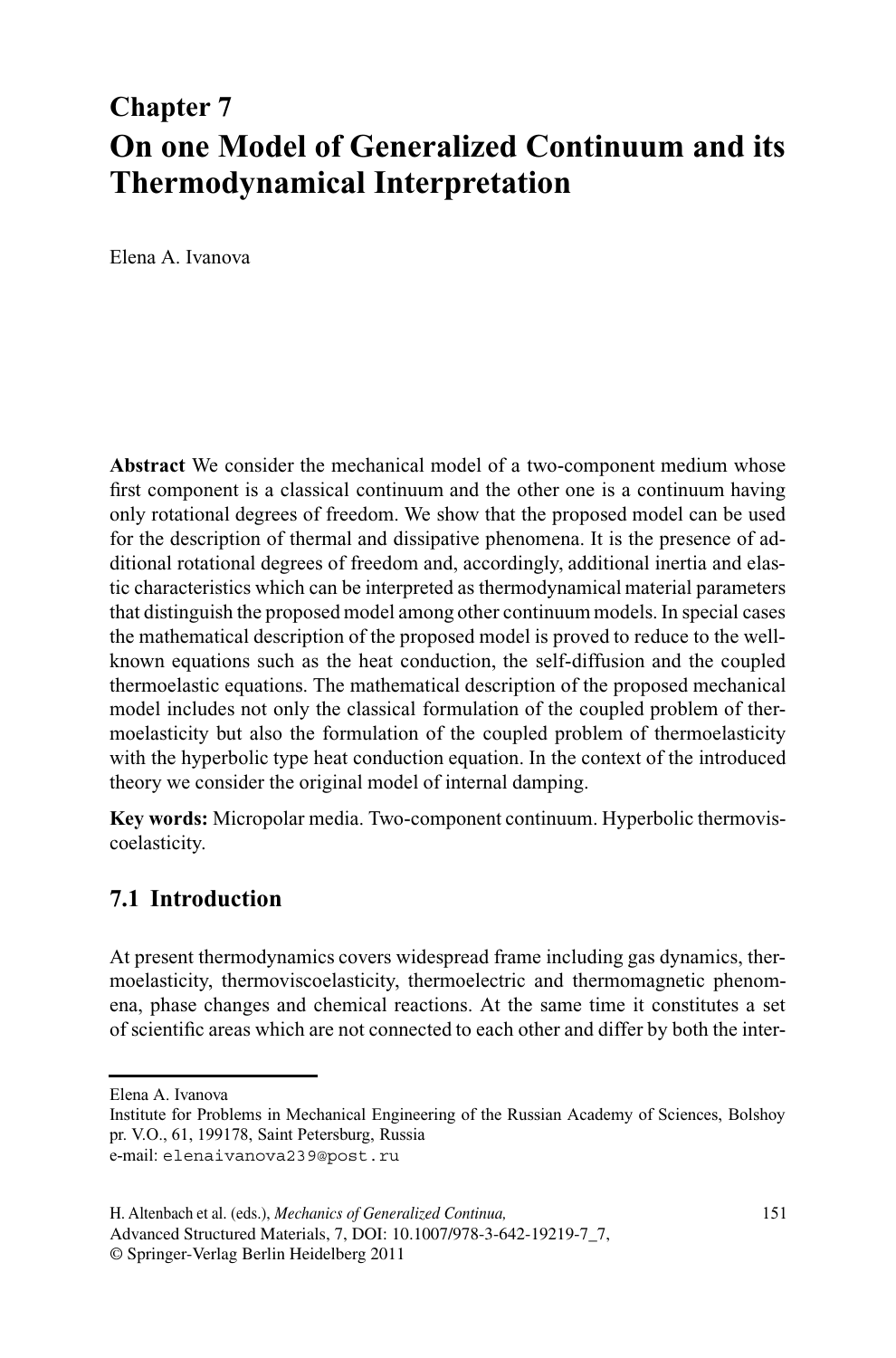Elena A. Ivanova

**Abstract** We consider the mechanical model of a two-component medium whose first component is a classical continuum and the other one is a continuum having only rotational degrees of freedom. We show that the proposed model can be used for the description of thermal and dissipative phenomena. It is the presence of additional rotational degrees of freedom and, accordingly, additional inertia and elastic characteristics which can be interpreted as thermodynamical material parameters that distinguish the proposed model among other continuum models. In special cases the mathematical description of the proposed model is proved to reduce to the wellknown equations such as the heat conduction, the self-diffusion and the coupled thermoelastic equations. The mathematical description of the proposed mechanical model includes not only the classical formulation of the coupled problem of thermoelasticity but also the formulation of the coupled problem of thermoelasticity with the hyperbolic type heat conduction equation. In the context of the introduced theory we consider the original model of internal damping.

**Key words:** Micropolar media. Two-component continuum. Hyperbolic thermoviscoelasticity.

## **7.1 Introduction**

At present thermodynamics covers widespread frame including gas dynamics, thermoelasticity, thermoviscoelasticity, thermoelectric and thermomagnetic phenomena, phase changes and chemical reactions. At the same time it constitutes a set of scientific areas which are not connected to each other and differ by both the inter-

Elena A. Ivanova

e-mail: elenaivanova239@post.ru

Institute for Problems in Mechanical Engineering of the Russian Academy of Sciences, Bolshoy pr. V.O., 61, 199178, Saint Petersburg, Russia

H. Altenbach et al. (eds.), *Mechanics of Generalized Continua,*

Advanced Structured Materials, 7, DOI: 10.1007/978-3-642-19219-7\_7,

<sup>©</sup> Springer-Verlag Berlin Heidelberg 2011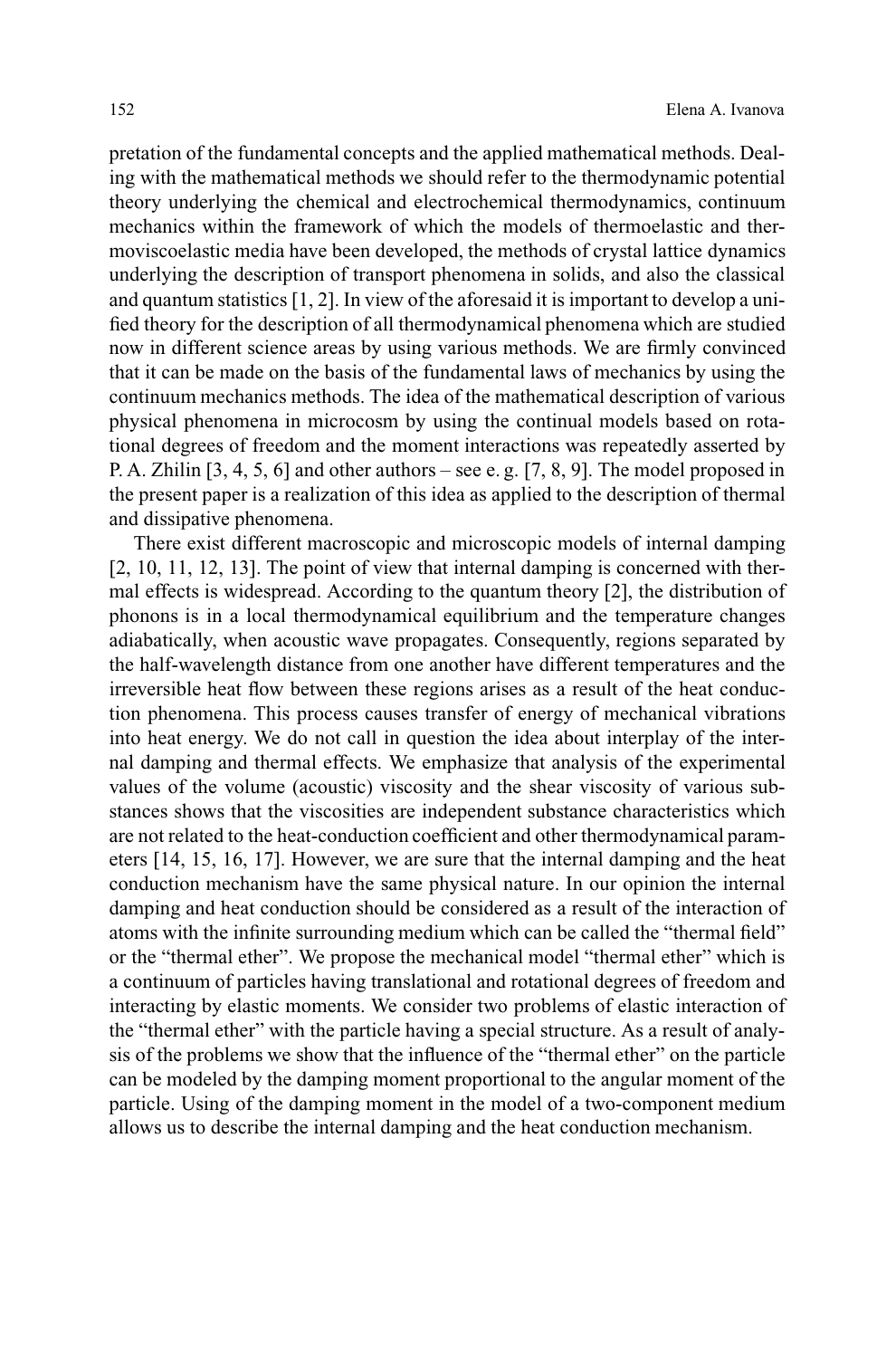pretation of the fundamental concepts and the applied mathematical methods. Dealing with the mathematical methods we should refer to the thermodynamic potential theory underlying the chemical and electrochemical thermodynamics, continuum mechanics within the framework of which the models of thermoelastic and thermoviscoelastic media have been developed, the methods of crystal lattice dynamics underlying the description of transport phenomena in solids, and also the classical and quantum statistics [1, 2]. In view of the aforesaid it is important to develop a unified theory for the description of all thermodynamical phenomena which are studied now in different science areas by using various methods. We are firmly convinced that it can be made on the basis of the fundamental laws of mechanics by using the continuum mechanics methods. The idea of the mathematical description of various physical phenomena in microcosm by using the continual models based on rotational degrees of freedom and the moment interactions was repeatedly asserted by P. A. Zhilin [3, 4, 5, 6] and other authors – see e. g. [7, 8, 9]. The model proposed in the present paper is a realization of this idea as applied to the description of thermal and dissipative phenomena.

There exist different macroscopic and microscopic models of internal damping [2, 10, 11, 12, 13]. The point of view that internal damping is concerned with thermal effects is widespread. According to the quantum theory [2], the distribution of phonons is in a local thermodynamical equilibrium and the temperature changes adiabatically, when acoustic wave propagates. Consequently, regions separated by the half-wavelength distance from one another have different temperatures and the irreversible heat flow between these regions arises as a result of the heat conduction phenomena. This process causes transfer of energy of mechanical vibrations into heat energy. We do not call in question the idea about interplay of the internal damping and thermal effects. We emphasize that analysis of the experimental values of the volume (acoustic) viscosity and the shear viscosity of various substances shows that the viscosities are independent substance characteristics which are not related to the heat-conduction coefficient and other thermodynamical parameters [14, 15, 16, 17]. However, we are sure that the internal damping and the heat conduction mechanism have the same physical nature. In our opinion the internal damping and heat conduction should be considered as a result of the interaction of atoms with the infinite surrounding medium which can be called the "thermal field" or the "thermal ether". We propose the mechanical model "thermal ether" which is a continuum of particles having translational and rotational degrees of freedom and interacting by elastic moments. We consider two problems of elastic interaction of the "thermal ether" with the particle having a special structure. As a result of analysis of the problems we show that the influence of the "thermal ether" on the particle can be modeled by the damping moment proportional to the angular moment of the particle. Using of the damping moment in the model of a two-component medium allows us to describe the internal damping and the heat conduction mechanism.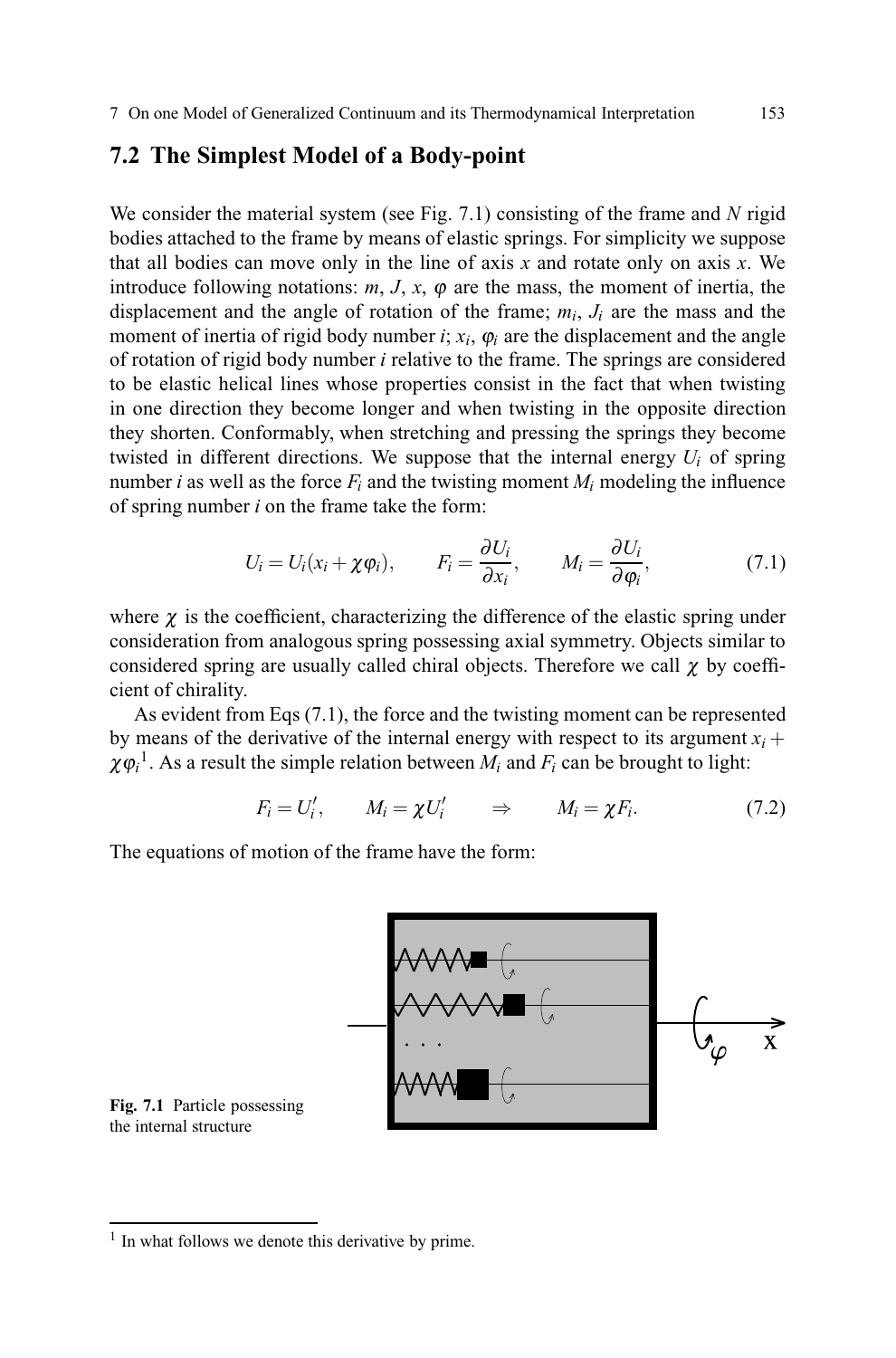#### **7.2 The Simplest Model of a Body-point**

We consider the material system (see Fig. 7.1) consisting of the frame and *N* rigid bodies attached to the frame by means of elastic springs. For simplicity we suppose that all bodies can move only in the line of axis *x* and rotate only on axis *x*. We introduce following notations:  $m$ ,  $J$ ,  $x$ ,  $\varphi$  are the mass, the moment of inertia, the displacement and the angle of rotation of the frame;  $m_i$ ,  $J_i$  are the mass and the moment of inertia of rigid body number  $i$ ;  $x_i$ ,  $\varphi_i$  are the displacement and the angle of rotation of rigid body number *i* relative to the frame. The springs are considered to be elastic helical lines whose properties consist in the fact that when twisting in one direction they become longer and when twisting in the opposite direction they shorten. Conformably, when stretching and pressing the springs they become twisted in different directions. We suppose that the internal energy  $U_i$  of spring number *i* as well as the force  $F_i$  and the twisting moment  $M_i$  modeling the influence of spring number *i* on the frame take the form:

$$
U_i = U_i(x_i + \chi \varphi_i), \qquad F_i = \frac{\partial U_i}{\partial x_i}, \qquad M_i = \frac{\partial U_i}{\partial \varphi_i}, \tag{7.1}
$$

where  $\chi$  is the coefficient, characterizing the difference of the elastic spring under consideration from analogous spring possessing axial symmetry. Objects similar to considered spring are usually called chiral objects. Therefore we call  $\chi$  by coefficient of chirality.

As evident from Eqs (7.1), the force and the twisting moment can be represented by means of the derivative of the internal energy with respect to its argument  $x_i$  +  $\chi \varphi_i$ <sup>1</sup>. As a result the simple relation between  $M_i$  and  $F_i$  can be brought to light:

$$
F_i = U'_i, \qquad M_i = \chi U'_i \qquad \Rightarrow \qquad M_i = \chi F_i. \tag{7.2}
$$

The equations of motion of the frame have the form:



**Fig. 7.1** Particle possessing the internal structure

 $<sup>1</sup>$  In what follows we denote this derivative by prime.</sup>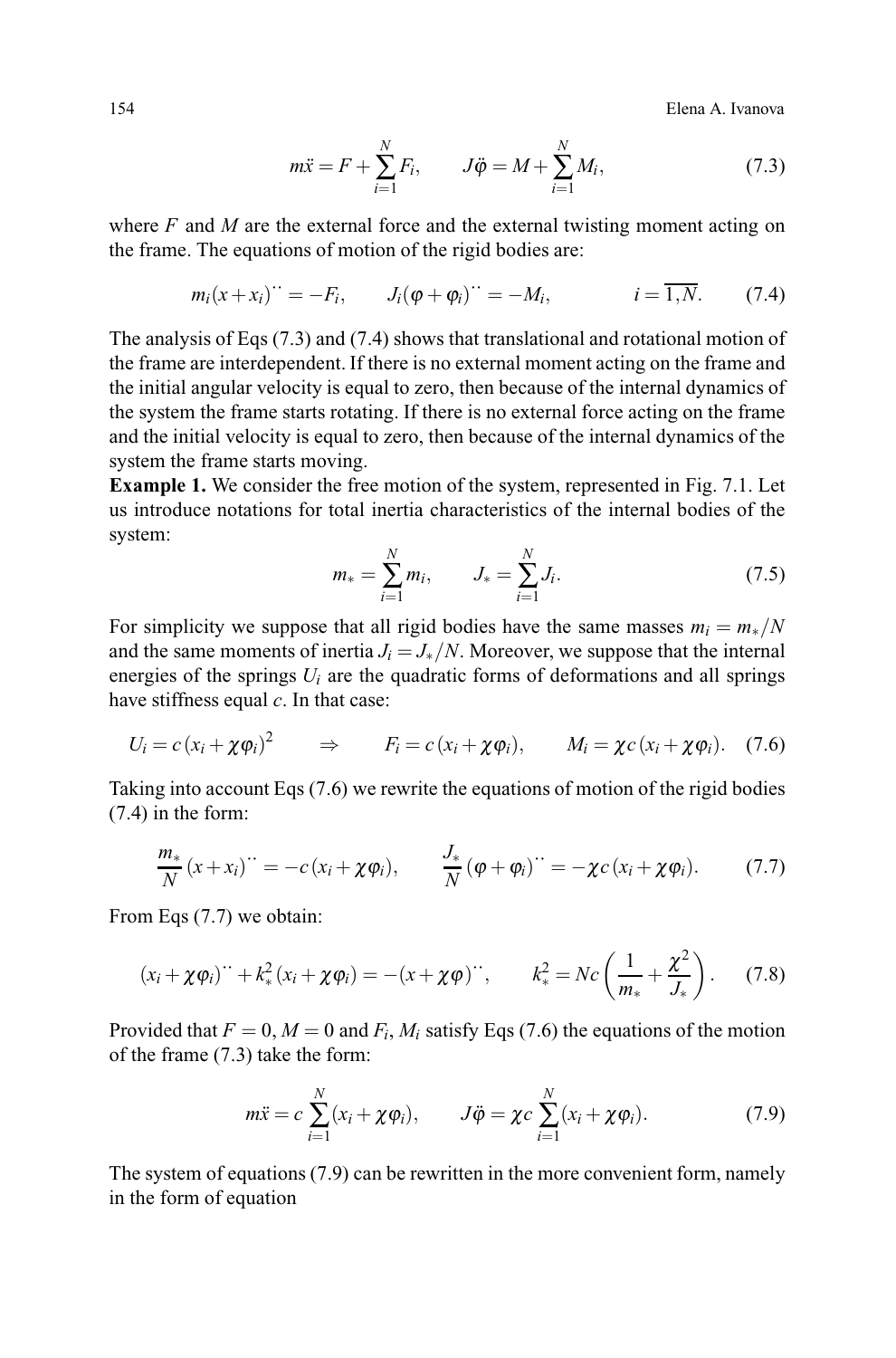$$
m\ddot{x} = F + \sum_{i=1}^{N} F_i, \qquad J\ddot{\varphi} = M + \sum_{i=1}^{N} M_i,
$$
 (7.3)

where *F* and *M* are the external force and the external twisting moment acting on the frame. The equations of motion of the rigid bodies are:

$$
m_i(x+x_i)^{\cdots} = -F_i, \qquad J_i(\varphi + \varphi_i)^{\cdots} = -M_i, \qquad i = \overline{1, N}. \tag{7.4}
$$

The analysis of Eqs (7.3) and (7.4) shows that translational and rotational motion of the frame are interdependent. If there is no external moment acting on the frame and the initial angular velocity is equal to zero, then because of the internal dynamics of the system the frame starts rotating. If there is no external force acting on the frame and the initial velocity is equal to zero, then because of the internal dynamics of the system the frame starts moving.

**Example 1.** We consider the free motion of the system, represented in Fig. 7.1. Let us introduce notations for total inertia characteristics of the internal bodies of the system:

$$
m_* = \sum_{i=1}^{N} m_i, \qquad J_* = \sum_{i=1}^{N} J_i.
$$
 (7.5)

For simplicity we suppose that all rigid bodies have the same masses  $m_i = m_* / N$ and the same moments of inertia  $J_i = J_*/N$ . Moreover, we suppose that the internal energies of the springs *Ui* are the quadratic forms of deformations and all springs have stiffness equal *c*. In that case:

$$
U_i = c(x_i + \chi \varphi_i)^2 \qquad \Rightarrow \qquad F_i = c(x_i + \chi \varphi_i), \qquad M_i = \chi c(x_i + \chi \varphi_i). \tag{7.6}
$$

Taking into account Eqs (7.6) we rewrite the equations of motion of the rigid bodies (7.4) in the form:

$$
\frac{m_*}{N}(x+x_i)^{\cdots} = -c(x_i + \chi \varphi_i), \qquad \frac{J_*}{N}(\varphi + \varphi_i)^{\cdots} = -\chi c(x_i + \chi \varphi_i). \tag{7.7}
$$

From Eqs (7.7) we obtain:

$$
(x_i + \chi \varphi_i) + k_*^2 (x_i + \chi \varphi_i) = -(x + \chi \varphi) \,, \qquad k_*^2 = N c \left( \frac{1}{m_*} + \frac{\chi^2}{J_*} \right). \tag{7.8}
$$

Provided that  $F = 0$ ,  $M = 0$  and  $F_i$ ,  $M_i$  satisfy Eqs (7.6) the equations of the motion of the frame (7.3) take the form:

$$
m\ddot{x} = c \sum_{i=1}^{N} (x_i + \chi \varphi_i), \qquad J\ddot{\varphi} = \chi c \sum_{i=1}^{N} (x_i + \chi \varphi_i). \tag{7.9}
$$

The system of equations (7.9) can be rewritten in the more convenient form, namely in the form of equation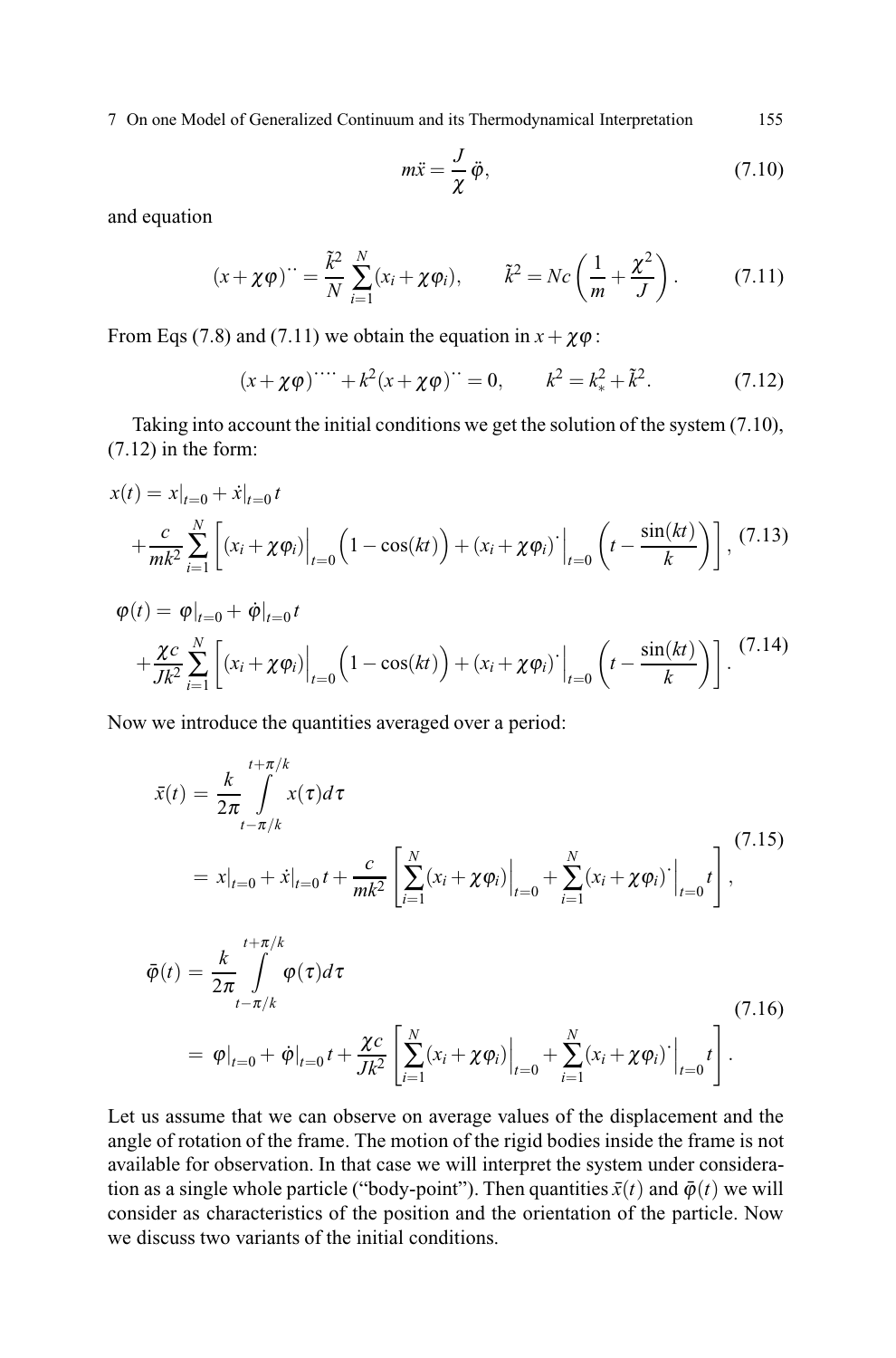$$
m\ddot{x} = \frac{J}{\chi}\ddot{\varphi},\qquad(7.10)
$$

and equation

$$
(x + \chi \varphi)^{\cdots} = \frac{\tilde{k}^2}{N} \sum_{i=1}^N (x_i + \chi \varphi_i), \qquad \tilde{k}^2 = Nc \left( \frac{1}{m} + \frac{\chi^2}{J} \right). \tag{7.11}
$$

From Eqs (7.8) and (7.11) we obtain the equation in  $x + \chi \varphi$ :

$$
(x + \chi \varphi) \cdots + k^2 (x + \chi \varphi) \cdots = 0, \qquad k^2 = k_*^2 + \tilde{k}^2. \tag{7.12}
$$

Taking into account the initial conditions we get the solution of the system (7.10), (7.12) in the form:

$$
x(t) = x|_{t=0} + \dot{x}|_{t=0} t
$$
  
+  $\frac{c}{mk^2} \sum_{i=1}^N \left[ (x_i + \chi \varphi_i) \Big|_{t=0} \left( 1 - \cos(kt) \right) + (x_i + \chi \varphi_i)' \Big|_{t=0} \left( t - \frac{\sin(kt)}{k} \right) \right], (7.13)$ 

$$
\varphi(t) = \varphi|_{t=0} + \dot{\varphi}|_{t=0} t
$$
  
+ 
$$
\frac{\chi c}{Jk^2} \sum_{i=1}^N \left[ (x_i + \chi \varphi_i) \Big|_{t=0} \left( 1 - \cos(kt) \right) + (x_i + \chi \varphi_i) \Big|_{t=0} \left( t - \frac{\sin(kt)}{k} \right) \right].
$$
 (7.14)

Now we introduce the quantities averaged over a period:

$$
\bar{x}(t) = \frac{k}{2\pi} \int_{t-\pi/k}^{t+\pi/k} x(\tau) d\tau
$$
\n
$$
= x|_{t=0} + \dot{x}|_{t=0}t + \frac{c}{mk^2} \left[ \sum_{i=1}^N (x_i + \chi \varphi_i) \Big|_{t=0} + \sum_{i=1}^N (x_i + \chi \varphi_i) \Big|_{t=0} t \right],
$$
\n
$$
\bar{\varphi}(t) = \frac{k}{2\pi} \int_{t-\pi/k}^{t+\pi/k} \varphi(\tau) d\tau
$$
\n
$$
= \varphi|_{t=0} + \dot{\varphi}|_{t=0}t + \frac{\chi c}{Jk^2} \left[ \sum_{i=1}^N (x_i + \chi \varphi_i) \Big|_{t=0} + \sum_{i=1}^N (x_i + \chi \varphi_i) \Big|_{t=0} t \right].
$$
\n(7.16)

*i*=1

Let us assume that we can observe on average values of the displacement and the angle of rotation of the frame. The motion of the rigid bodies inside the frame is not available for observation. In that case we will interpret the system under consideration as a single whole particle ("body-point"). Then quantities  $\bar{x}(t)$  and  $\bar{\varphi}(t)$  we will consider as characteristics of the position and the orientation of the particle. Now we discuss two variants of the initial conditions.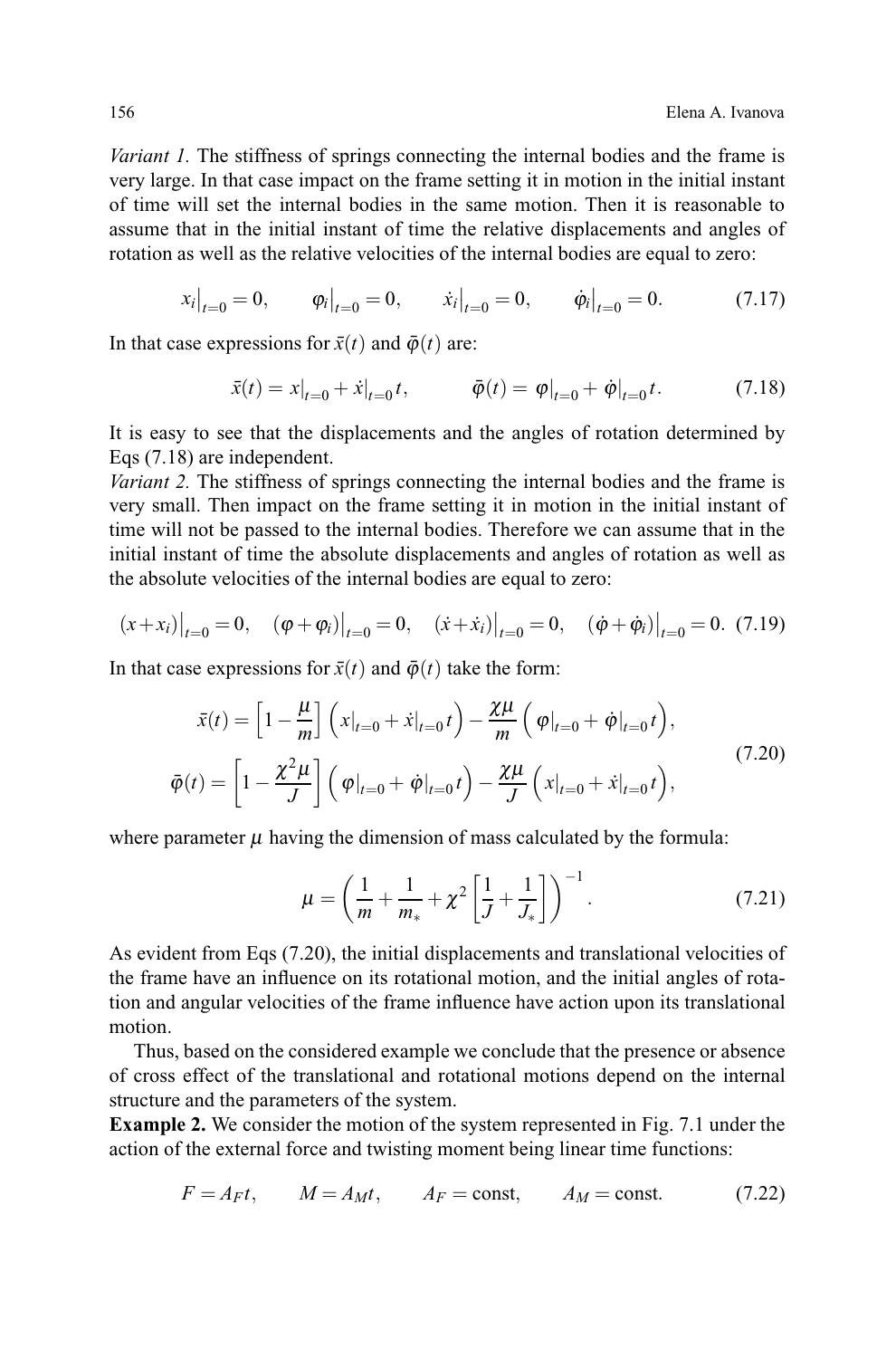*Variant 1.* The stiffness of springs connecting the internal bodies and the frame is very large. In that case impact on the frame setting it in motion in the initial instant of time will set the internal bodies in the same motion. Then it is reasonable to assume that in the initial instant of time the relative displacements and angles of rotation as well as the relative velocities of the internal bodies are equal to zero:

$$
x_i\big|_{t=0} = 0
$$
,  $\varphi_i\big|_{t=0} = 0$ ,  $\dot{x}_i\big|_{t=0} = 0$ ,  $\dot{\varphi}_i\big|_{t=0} = 0$ . (7.17)

In that case expressions for  $\bar{x}(t)$  and  $\bar{\varphi}(t)$  are:

$$
\bar{x}(t) = x|_{t=0} + \dot{x}|_{t=0}t, \qquad \bar{\varphi}(t) = \varphi|_{t=0} + \dot{\varphi}|_{t=0}t. \tag{7.18}
$$

It is easy to see that the displacements and the angles of rotation determined by Eqs (7.18) are independent.

*Variant 2.* The stiffness of springs connecting the internal bodies and the frame is very small. Then impact on the frame setting it in motion in the initial instant of time will not be passed to the internal bodies. Therefore we can assume that in the initial instant of time the absolute displacements and angles of rotation as well as the absolute velocities of the internal bodies are equal to zero:

$$
(x+x_i)|_{t=0} = 0
$$
,  $(\varphi + \varphi_i)|_{t=0} = 0$ ,  $(\dot{x} + \dot{x}_i)|_{t=0} = 0$ ,  $(\dot{\varphi} + \dot{\varphi}_i)|_{t=0} = 0$ . (7.19)

In that case expressions for  $\bar{x}(t)$  and  $\bar{\varphi}(t)$  take the form:

$$
\bar{x}(t) = \left[1 - \frac{\mu}{m}\right] \left(x|_{t=0} + \dot{x}|_{t=0} t\right) - \frac{\chi\mu}{m} \left(\varphi|_{t=0} + \dot{\varphi}|_{t=0} t\right),
$$
\n
$$
\bar{\varphi}(t) = \left[1 - \frac{\chi^2 \mu}{J}\right] \left(\varphi|_{t=0} + \dot{\varphi}|_{t=0} t\right) - \frac{\chi\mu}{J} \left(x|_{t=0} + \dot{x}|_{t=0} t\right),
$$
\n(7.20)

where parameter  $\mu$  having the dimension of mass calculated by the formula:

$$
\mu = \left(\frac{1}{m} + \frac{1}{m_*} + \chi^2 \left[\frac{1}{J} + \frac{1}{J_*}\right]\right)^{-1}.\tag{7.21}
$$

As evident from Eqs (7.20), the initial displacements and translational velocities of the frame have an influence on its rotational motion, and the initial angles of rotation and angular velocities of the frame influence have action upon its translational motion.

Thus, based on the considered example we conclude that the presence or absence of cross effect of the translational and rotational motions depend on the internal structure and the parameters of the system.

**Example 2.** We consider the motion of the system represented in Fig. 7.1 under the action of the external force and twisting moment being linear time functions:

$$
F = A_F t, \qquad M = A_M t, \qquad A_F = \text{const}, \qquad A_M = \text{const.} \tag{7.22}
$$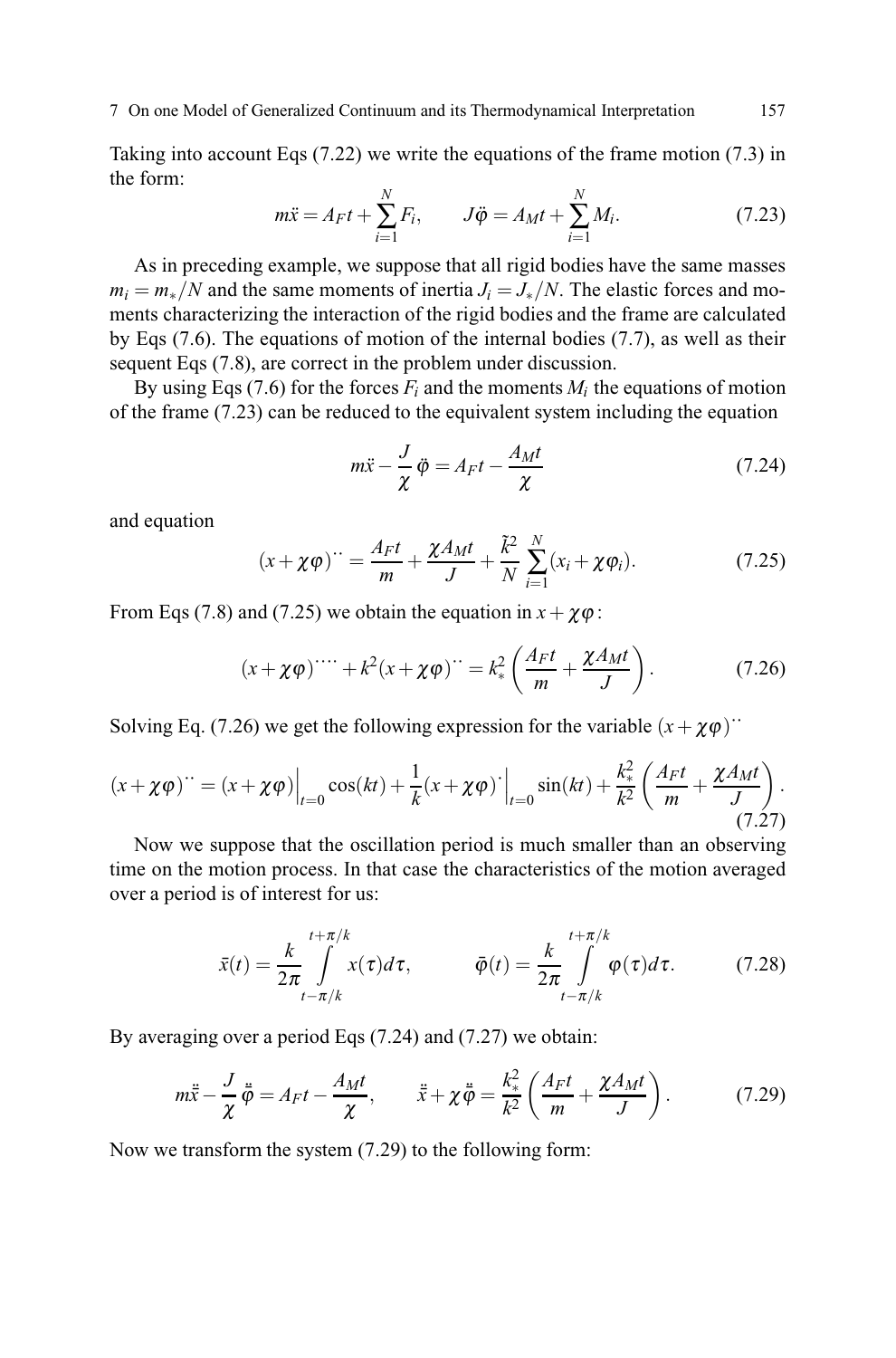Taking into account Eqs  $(7.22)$  we write the equations of the frame motion (7.3) in the form:

$$
m\ddot{x} = A_F t + \sum_{i=1}^{N} F_i, \qquad J\ddot{\varphi} = A_M t + \sum_{i=1}^{N} M_i.
$$
 (7.23)

As in preceding example, we suppose that all rigid bodies have the same masses  $m_i = m_*/N$  and the same moments of inertia  $J_i = J_*/N$ . The elastic forces and moments characterizing the interaction of the rigid bodies and the frame are calculated by Eqs (7.6). The equations of motion of the internal bodies (7.7), as well as their sequent Eqs  $(7.8)$ , are correct in the problem under discussion.

By using Eqs (7.6) for the forces  $F_i$  and the moments  $M_i$  the equations of motion of the frame (7.23) can be reduced to the equivalent system including the equation

$$
m\ddot{x} - \frac{J}{\chi}\ddot{\varphi} = A_F t - \frac{A_M t}{\chi} \tag{7.24}
$$

and equation

$$
(x+\chi\varphi)^{\cdots}=\frac{A_Ft}{m}+\frac{\chi A_Mt}{J}+\frac{\tilde{k}^2}{N}\sum_{i=1}^N(x_i+\chi\varphi_i). \hspace{1cm} (7.25)
$$

From Eqs (7.8) and (7.25) we obtain the equation in  $x + \chi \varphi$ :

$$
(x + \chi \varphi) \cdots + k^2 (x + \chi \varphi) \cdots = k^2_* \left( \frac{A_F t}{m} + \frac{\chi A_M t}{J} \right). \tag{7.26}
$$

Solving Eq. (7.26) we get the following expression for the variable  $(x + \chi \varphi)$ 

$$
(x+\chi\varphi)^{\cdot\cdot} = (x+\chi\varphi)\Big|_{t=0} \cos(kt) + \frac{1}{k}(x+\chi\varphi)^{\cdot}\Big|_{t=0} \sin(kt) + \frac{k_{*}^{2}}{k^{2}}\left(\frac{A_{F}t}{m} + \frac{\chi A_{M}t}{J}\right). \tag{7.27}
$$

Now we suppose that the oscillation period is much smaller than an observing time on the motion process. In that case the characteristics of the motion averaged over a period is of interest for us:

$$
\bar{x}(t) = \frac{k}{2\pi} \int_{t-\pi/k}^{t+\pi/k} x(\tau)d\tau, \qquad \bar{\varphi}(t) = \frac{k}{2\pi} \int_{t-\pi/k}^{t+\pi/k} \varphi(\tau)d\tau. \qquad (7.28)
$$

By averaging over a period Eqs (7.24) and (7.27) we obtain:

$$
m\ddot{\bar{x}} - \frac{J}{\chi}\ddot{\bar{\phi}} = A_F t - \frac{A_M t}{\chi}, \qquad \ddot{\bar{x}} + \chi\ddot{\bar{\phi}} = \frac{k_*^2}{k^2} \left(\frac{A_F t}{m} + \frac{\chi A_M t}{J}\right). \tag{7.29}
$$

Now we transform the system (7.29) to the following form: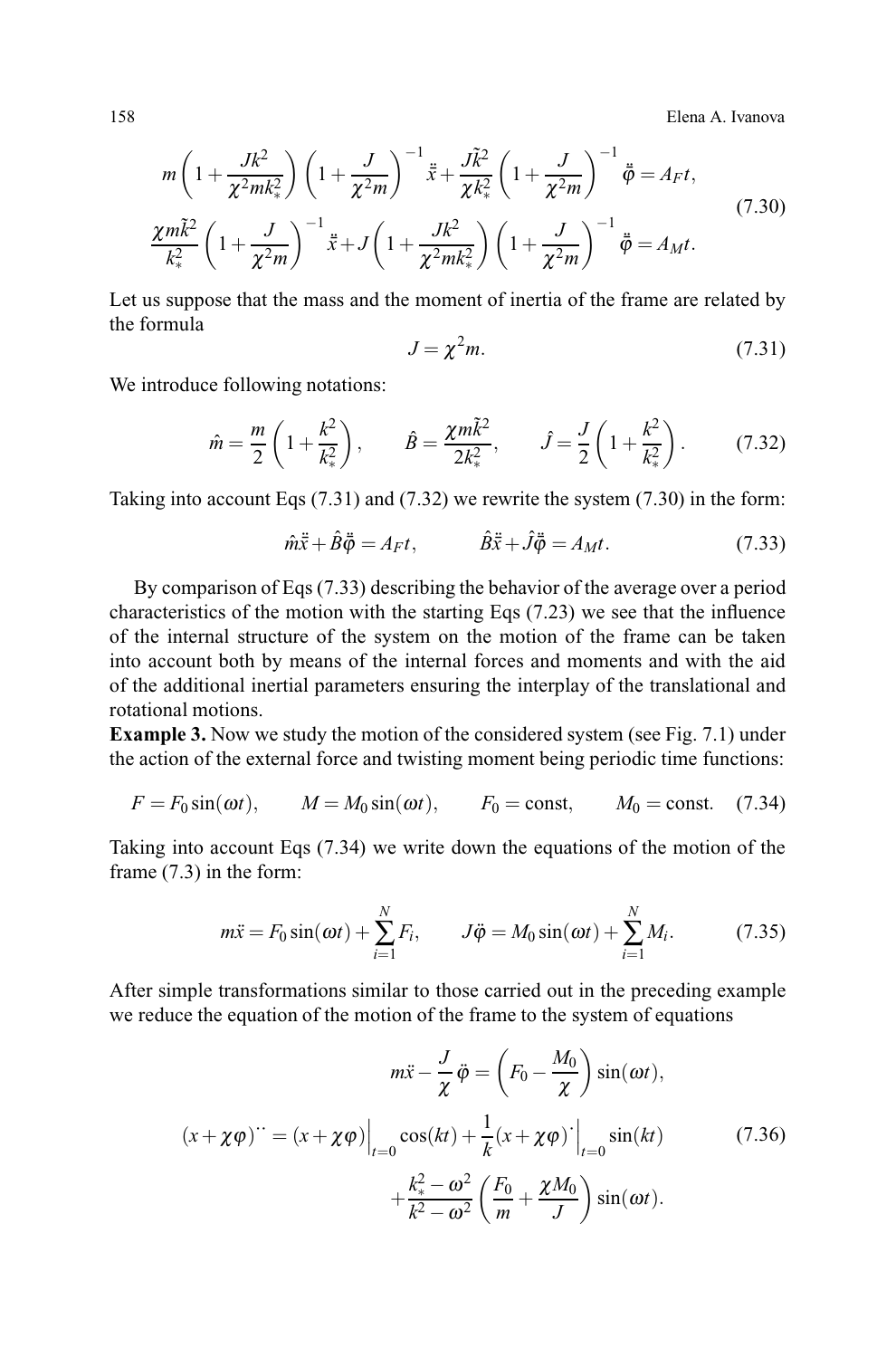$$
m\left(1+\frac{Jk^2}{\chi^2mk_*^2}\right)\left(1+\frac{J}{\chi^2m}\right)^{-1}\ddot{\bar{x}}+\frac{J\tilde{k}^2}{\chi k_*^2}\left(1+\frac{J}{\chi^2m}\right)^{-1}\ddot{\bar{\phi}}=A_Ft,
$$
  

$$
\frac{\chi m\tilde{k}^2}{k_*^2}\left(1+\frac{J}{\chi^2m}\right)^{-1}\ddot{\bar{x}}+J\left(1+\frac{Jk^2}{\chi^2mk_*^2}\right)\left(1+\frac{J}{\chi^2m}\right)^{-1}\ddot{\bar{\phi}}=A_Mt.
$$
 (7.30)

Let us suppose that the mass and the moment of inertia of the frame are related by the formula

$$
J = \chi^2 m. \tag{7.31}
$$

We introduce following notations:

$$
\hat{m} = \frac{m}{2} \left( 1 + \frac{k^2}{k_*^2} \right), \qquad \hat{B} = \frac{\chi m \tilde{k}^2}{2k_*^2}, \qquad \hat{J} = \frac{J}{2} \left( 1 + \frac{k^2}{k_*^2} \right). \tag{7.32}
$$

Taking into account Eqs (7.31) and (7.32) we rewrite the system (7.30) in the form:

$$
\hat{m}\ddot{\bar{x}} + \hat{B}\ddot{\bar{\phi}} = A_F t, \qquad \hat{B}\ddot{\bar{x}} + \hat{J}\ddot{\bar{\phi}} = A_M t. \tag{7.33}
$$

By comparison of Eqs (7.33) describing the behavior of the average over a period characteristics of the motion with the starting Eqs  $(7.23)$  we see that the influence of the internal structure of the system on the motion of the frame can be taken into account both by means of the internal forces and moments and with the aid of the additional inertial parameters ensuring the interplay of the translational and rotational motions.

**Example 3.** Now we study the motion of the considered system (see Fig. 7.1) under the action of the external force and twisting moment being periodic time functions:

$$
F = F_0 \sin(\omega t), \qquad M = M_0 \sin(\omega t), \qquad F_0 = \text{const}, \qquad M_0 = \text{const.} \quad (7.34)
$$

Taking into account Eqs (7.34) we write down the equations of the motion of the frame (7.3) in the form:

$$
m\ddot{x} = F_0 \sin(\omega t) + \sum_{i=1}^{N} F_i, \qquad J\ddot{\varphi} = M_0 \sin(\omega t) + \sum_{i=1}^{N} M_i.
$$
 (7.35)

After simple transformations similar to those carried out in the preceding example we reduce the equation of the motion of the frame to the system of equations

$$
m\ddot{x} - \frac{J}{\chi}\ddot{\varphi} = \left(F_0 - \frac{M_0}{\chi}\right)\sin(\omega t),
$$
  

$$
(x + \chi\varphi)^{\cdot\cdot} = (x + \chi\varphi)\Big|_{t=0}\cos(kt) + \frac{1}{k}(x + \chi\varphi)^{\cdot}\Big|_{t=0}\sin(kt)
$$

$$
+ \frac{k_*^2 - \omega^2}{k^2 - \omega^2}\left(\frac{F_0}{m} + \frac{\chi M_0}{J}\right)\sin(\omega t).
$$
 (7.36)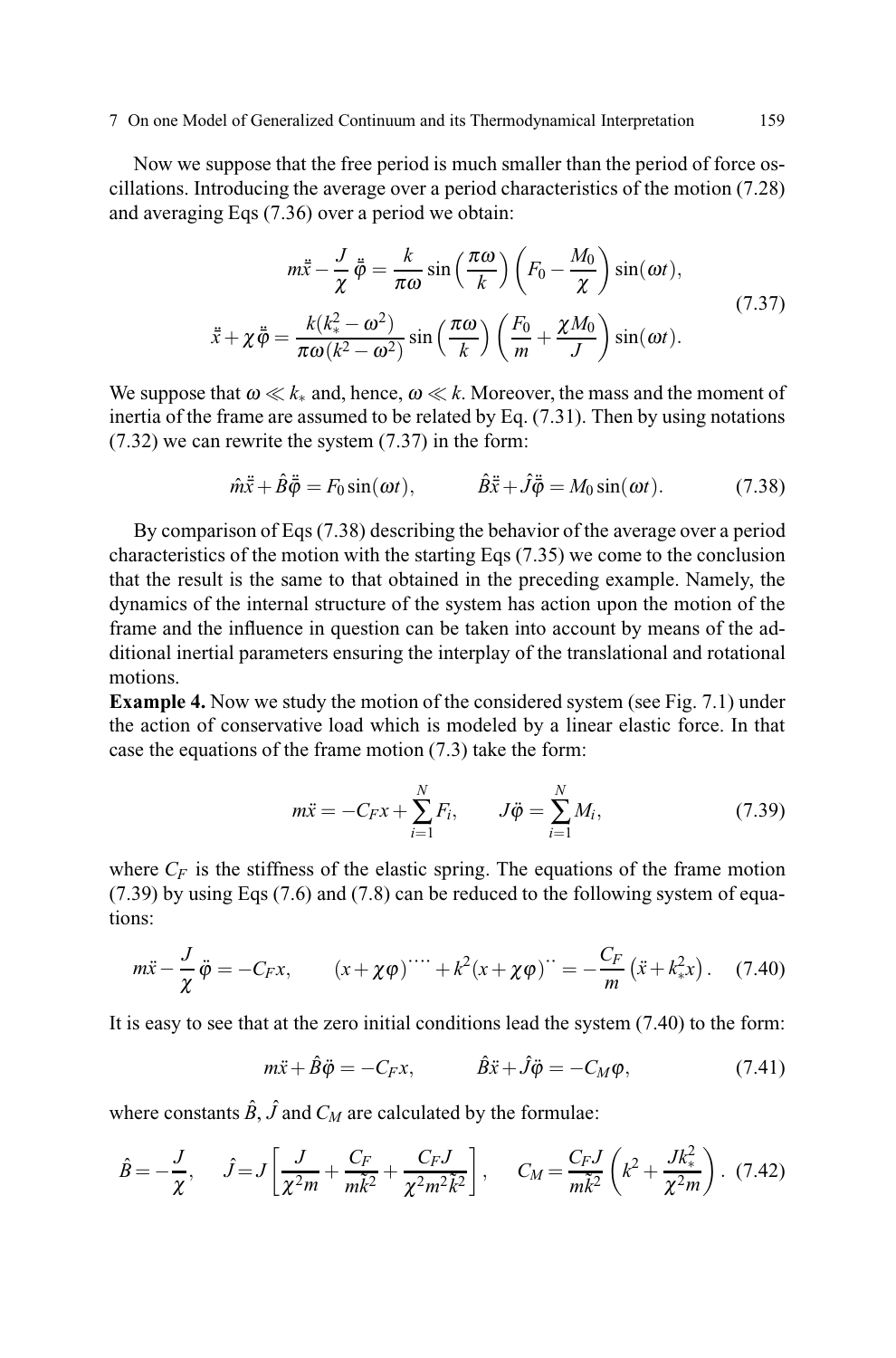Now we suppose that the free period is much smaller than the period of force oscillations. Introducing the average over a period characteristics of the motion (7.28) and averaging Eqs (7.36) over a period we obtain:

$$
m\ddot{\bar{x}} - \frac{J}{\chi}\ddot{\bar{\phi}} = \frac{k}{\pi\omega}\sin\left(\frac{\pi\omega}{k}\right)\left(F_0 - \frac{M_0}{\chi}\right)\sin(\omega t),
$$
  

$$
\ddot{\bar{x}} + \chi\ddot{\bar{\phi}} = \frac{k(k_*^2 - \omega^2)}{\pi\omega(k^2 - \omega^2)}\sin\left(\frac{\pi\omega}{k}\right)\left(\frac{F_0}{m} + \frac{\chi M_0}{J}\right)\sin(\omega t).
$$
 (7.37)

We suppose that  $\omega \ll k_*$  and, hence,  $\omega \ll k$ . Moreover, the mass and the moment of inertia of the frame are assumed to be related by Eq. (7.31). Then by using notations (7.32) we can rewrite the system (7.37) in the form:

$$
\hat{m}\ddot{\bar{x}} + \hat{B}\ddot{\bar{\phi}} = F_0\sin(\omega t), \qquad \hat{B}\ddot{\bar{x}} + \hat{J}\ddot{\bar{\phi}} = M_0\sin(\omega t). \tag{7.38}
$$

By comparison of Eqs (7.38) describing the behavior of the average over a period characteristics of the motion with the starting Eqs (7.35) we come to the conclusion that the result is the same to that obtained in the preceding example. Namely, the dynamics of the internal structure of the system has action upon the motion of the frame and the influence in question can be taken into account by means of the additional inertial parameters ensuring the interplay of the translational and rotational motions.

**Example 4.** Now we study the motion of the considered system (see Fig. 7.1) under the action of conservative load which is modeled by a linear elastic force. In that case the equations of the frame motion (7.3) take the form:

$$
m\ddot{x} = -C_F x + \sum_{i=1}^{N} F_i, \qquad J\ddot{\varphi} = \sum_{i=1}^{N} M_i,
$$
 (7.39)

where  $C_F$  is the stiffness of the elastic spring. The equations of the frame motion (7.39) by using Eqs (7.6) and (7.8) can be reduced to the following system of equations:

$$
m\ddot{x} - \frac{J}{\chi}\ddot{\phi} = -C_F x, \qquad (x + \chi\phi)^{\dots} + k^2(x + \chi\phi)^{\dots} = -\frac{C_F}{m}(\ddot{x} + k^2_* x). \tag{7.40}
$$

It is easy to see that at the zero initial conditions lead the system (7.40) to the form:

$$
m\ddot{x} + \hat{B}\ddot{\varphi} = -C_F x, \qquad \hat{B}\ddot{x} + \hat{J}\ddot{\varphi} = -C_M \varphi, \qquad (7.41)
$$

where constants  $\hat{B}$ ,  $\hat{J}$  and  $C_M$  are calculated by the formulae:

$$
\hat{B} = -\frac{J}{\chi}, \quad \hat{J} = J \left[ \frac{J}{\chi^2 m} + \frac{C_F}{m \tilde{k}^2} + \frac{C_F J}{\chi^2 m^2 \tilde{k}^2} \right], \quad C_M = \frac{C_F J}{m \tilde{k}^2} \left( k^2 + \frac{J k_*^2}{\chi^2 m} \right). \tag{7.42}
$$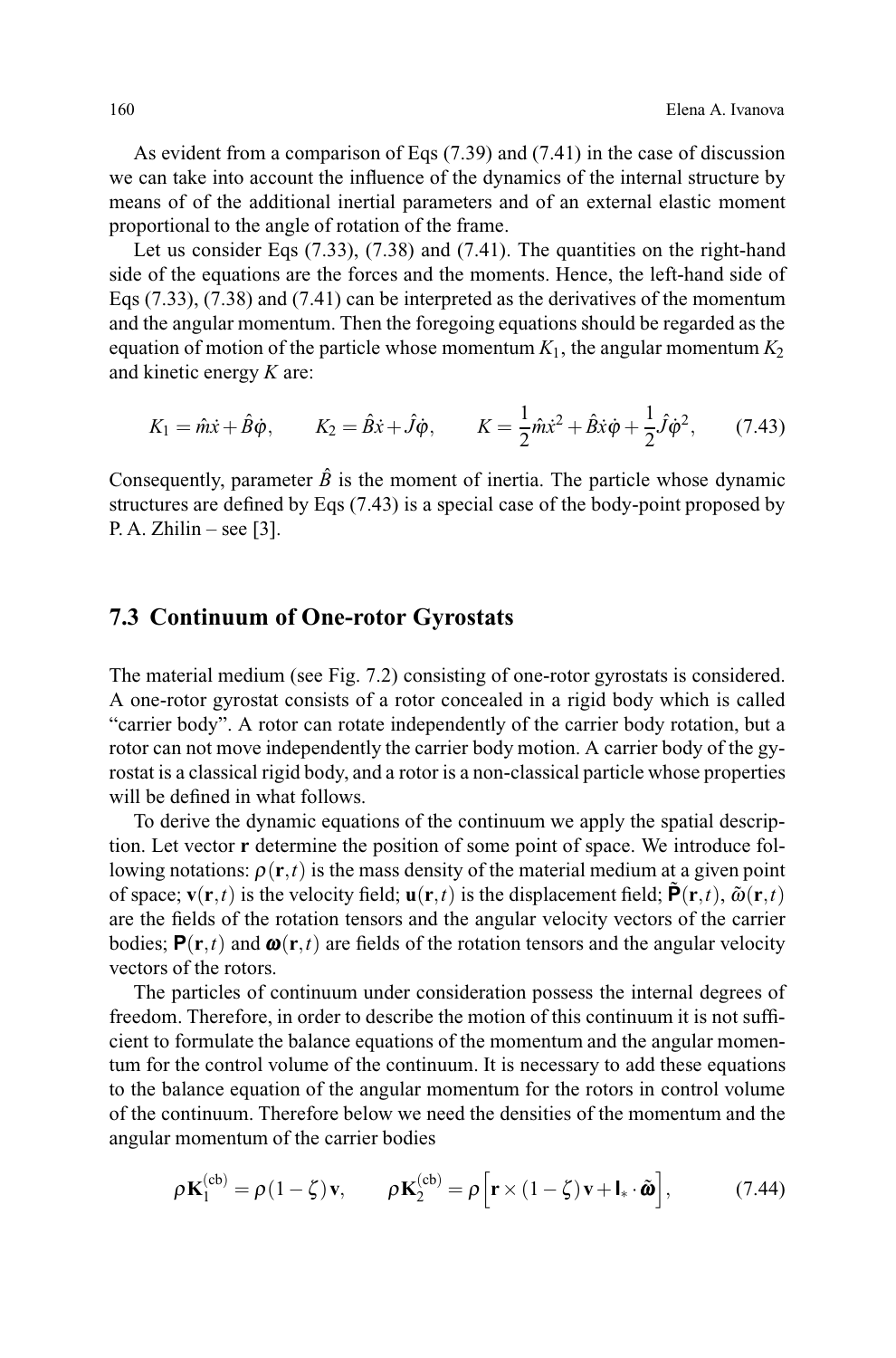As evident from a comparison of Eqs (7.39) and (7.41) in the case of discussion we can take into account the influence of the dynamics of the internal structure by means of of the additional inertial parameters and of an external elastic moment proportional to the angle of rotation of the frame.

Let us consider Eqs (7.33), (7.38) and (7.41). The quantities on the right-hand side of the equations are the forces and the moments. Hence, the left-hand side of Eqs (7.33), (7.38) and (7.41) can be interpreted as the derivatives of the momentum and the angular momentum. Then the foregoing equations should be regarded as the equation of motion of the particle whose momentum  $K_1$ , the angular momentum  $K_2$ and kinetic energy *K* are:

$$
K_1 = \hat{m}\dot{x} + \hat{B}\dot{\phi}, \qquad K_2 = \hat{B}\dot{x} + \hat{J}\dot{\phi}, \qquad K = \frac{1}{2}\hat{m}\dot{x}^2 + \hat{B}\dot{x}\dot{\phi} + \frac{1}{2}\hat{J}\dot{\phi}^2,
$$
 (7.43)

Consequently, parameter  $\hat{B}$  is the moment of inertia. The particle whose dynamic structures are defined by Eqs (7.43) is a special case of the body-point proposed by P. A. Zhilin – see [3].

#### **7.3 Continuum of One-rotor Gyrostats**

The material medium (see Fig. 7.2) consisting of one-rotor gyrostats is considered. A one-rotor gyrostat consists of a rotor concealed in a rigid body which is called "carrier body". A rotor can rotate independently of the carrier body rotation, but a rotor can not move independently the carrier body motion. A carrier body of the gyrostat is a classical rigid body, and a rotor is a non-classical particle whose properties will be defined in what follows.

To derive the dynamic equations of the continuum we apply the spatial description. Let vector **r** determine the position of some point of space. We introduce following notations:  $\rho(\mathbf{r},t)$  is the mass density of the material medium at a given point of space;  $\mathbf{v}(\mathbf{r},t)$  is the velocity field;  $\mathbf{u}(\mathbf{r},t)$  is the displacement field;  $\mathbf{P}(\mathbf{r},t)$ ,  $\tilde{\omega}(\mathbf{r},t)$ are the fields of the rotation tensors and the angular velocity vectors of the carrier bodies;  $P(\mathbf{r},t)$  and  $\boldsymbol{\omega}(\mathbf{r},t)$  are fields of the rotation tensors and the angular velocity vectors of the rotors.

The particles of continuum under consideration possess the internal degrees of freedom. Therefore, in order to describe the motion of this continuum it is not sufficient to formulate the balance equations of the momentum and the angular momentum for the control volume of the continuum. It is necessary to add these equations to the balance equation of the angular momentum for the rotors in control volume of the continuum. Therefore below we need the densities of the momentum and the angular momentum of the carrier bodies

$$
\rho \mathbf{K}_{1}^{(\text{cb})} = \rho (1 - \zeta) \mathbf{v}, \qquad \rho \mathbf{K}_{2}^{(\text{cb})} = \rho \left[ \mathbf{r} \times (1 - \zeta) \mathbf{v} + \mathbf{I}_{*} \cdot \tilde{\boldsymbol{\omega}} \right], \tag{7.44}
$$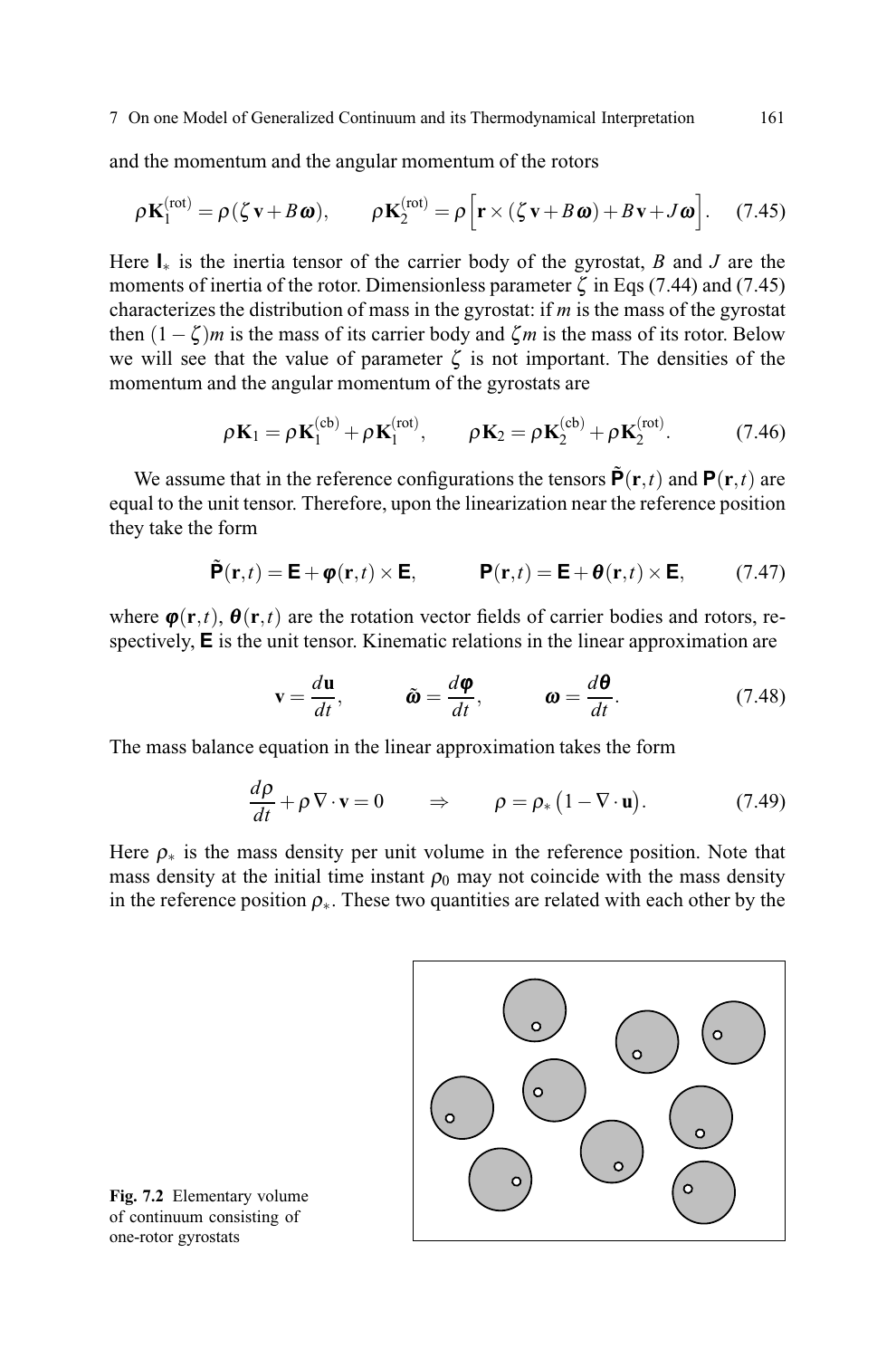and the momentum and the angular momentum of the rotors

$$
\rho \mathbf{K}_1^{\text{(rot)}} = \rho (\zeta \mathbf{v} + B \boldsymbol{\omega}), \qquad \rho \mathbf{K}_2^{\text{(rot)}} = \rho \left[ \mathbf{r} \times (\zeta \mathbf{v} + B \boldsymbol{\omega}) + B \mathbf{v} + J \boldsymbol{\omega} \right]. \tag{7.45}
$$

Here  $I_*$  is the inertia tensor of the carrier body of the gyrostat, *B* and *J* are the moments of inertia of the rotor. Dimensionless parameter  $\zeta$  in Eqs (7.44) and (7.45) characterizes the distribution of mass in the gyrostat: if *m* is the mass of the gyrostat then  $(1 - \zeta)$ *m* is the mass of its carrier body and  $\zeta$ *m* is the mass of its rotor. Below we will see that the value of parameter  $\zeta$  is not important. The densities of the momentum and the angular momentum of the gyrostats are

$$
\rho \mathbf{K}_1 = \rho \mathbf{K}_1^{(\text{cb})} + \rho \mathbf{K}_1^{(\text{rot})}, \qquad \rho \mathbf{K}_2 = \rho \mathbf{K}_2^{(\text{cb})} + \rho \mathbf{K}_2^{(\text{rot})}. \tag{7.46}
$$

We assume that in the reference configurations the tensors  $\tilde{P}(\mathbf{r},t)$  and  $P(\mathbf{r},t)$  are equal to the unit tensor. Therefore, upon the linearization near the reference position they take the form

$$
\tilde{\mathbf{P}}(\mathbf{r},t) = \mathbf{E} + \boldsymbol{\varphi}(\mathbf{r},t) \times \mathbf{E}, \qquad \mathbf{P}(\mathbf{r},t) = \mathbf{E} + \boldsymbol{\theta}(\mathbf{r},t) \times \mathbf{E}, \qquad (7.47)
$$

where  $\phi(\mathbf{r},t)$ ,  $\theta(\mathbf{r},t)$  are the rotation vector fields of carrier bodies and rotors, respectively, **E** is the unit tensor. Kinematic relations in the linear approximation are

$$
\mathbf{v} = \frac{d\mathbf{u}}{dt}, \qquad \tilde{\boldsymbol{\omega}} = \frac{d\boldsymbol{\varphi}}{dt}, \qquad \boldsymbol{\omega} = \frac{d\boldsymbol{\theta}}{dt}.
$$
 (7.48)

The mass balance equation in the linear approximation takes the form

$$
\frac{d\rho}{dt} + \rho \nabla \cdot \mathbf{v} = 0 \qquad \Rightarrow \qquad \rho = \rho_* \left( 1 - \nabla \cdot \mathbf{u} \right). \tag{7.49}
$$

Here  $\rho_*$  is the mass density per unit volume in the reference position. Note that mass density at the initial time instant  $\rho_0$  may not coincide with the mass density in the reference position  $\rho_{*}$ . These two quantities are related with each other by the



**Fig. 7.2** Elementary volume of continuum consisting of one-rotor gyrostats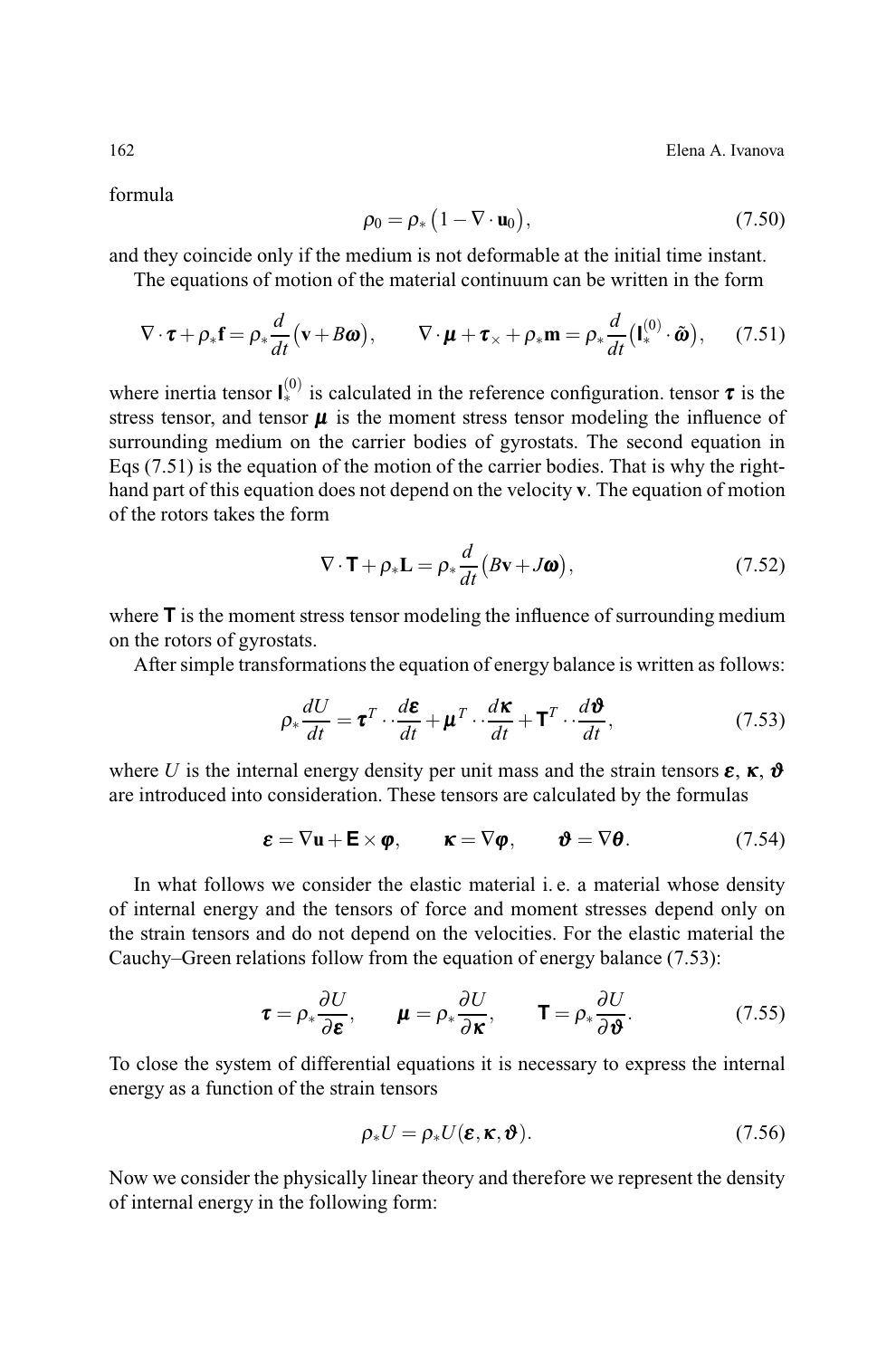formula

$$
\rho_0 = \rho_* \left( 1 - \nabla \cdot \mathbf{u}_0 \right),\tag{7.50}
$$

and they coincide only if the medium is not deformable at the initial time instant.

The equations of motion of the material continuum can be written in the form

$$
\nabla \cdot \boldsymbol{\tau} + \rho_* \mathbf{f} = \rho_* \frac{d}{dt} (\mathbf{v} + B\boldsymbol{\omega}), \qquad \nabla \cdot \boldsymbol{\mu} + \boldsymbol{\tau}_* + \rho_* \mathbf{m} = \rho_* \frac{d}{dt} (\mathbf{I}_*^{(0)} \cdot \tilde{\boldsymbol{\omega}}), \qquad (7.51)
$$

where inertia tensor  $I_*^{(0)}$  is calculated in the reference configuration. tensor  $\tau$  is the stress tensor, and tensor  $\boldsymbol{\mu}$  is the moment stress tensor modeling the influence of surrounding medium on the carrier bodies of gyrostats. The second equation in Eqs (7.51) is the equation of the motion of the carrier bodies. That is why the righthand part of this equation does not depend on the velocity **v**. The equation of motion of the rotors takes the form

$$
\nabla \cdot \mathbf{T} + \rho_* \mathbf{L} = \rho_* \frac{d}{dt} (B\mathbf{v} + J\mathbf{\omega}), \qquad (7.52)
$$

where **T** is the moment stress tensor modeling the influence of surrounding medium on the rotors of gyrostats.

After simple transformations the equation of energy balance is written as follows:

$$
\rho_* \frac{dU}{dt} = \boldsymbol{\tau}^T \cdot \frac{d\boldsymbol{\varepsilon}}{dt} + \boldsymbol{\mu}^T \cdot \frac{d\boldsymbol{\kappa}}{dt} + \boldsymbol{\mathsf{T}}^T \cdot \frac{d\boldsymbol{\vartheta}}{dt},
$$
\n(7.53)

where *U* is the internal energy density per unit mass and the strain tensors  $\varepsilon$ ,  $\kappa$ ,  $\vartheta$ are introduced into consideration. These tensors are calculated by the formulas

$$
\boldsymbol{\varepsilon} = \nabla \mathbf{u} + \mathbf{E} \times \boldsymbol{\varphi}, \qquad \boldsymbol{\kappa} = \nabla \boldsymbol{\varphi}, \qquad \boldsymbol{\vartheta} = \nabla \boldsymbol{\theta}.
$$
 (7.54)

In what follows we consider the elastic material i. e. a material whose density of internal energy and the tensors of force and moment stresses depend only on the strain tensors and do not depend on the velocities. For the elastic material the Cauchy–Green relations follow from the equation of energy balance (7.53):

$$
\boldsymbol{\tau} = \rho_* \frac{\partial U}{\partial \boldsymbol{\varepsilon}}, \qquad \boldsymbol{\mu} = \rho_* \frac{\partial U}{\partial \boldsymbol{\kappa}}, \qquad \mathbf{T} = \rho_* \frac{\partial U}{\partial \boldsymbol{\vartheta}}.
$$
 (7.55)

To close the system of differential equations it is necessary to express the internal energy as a function of the strain tensors

$$
\rho_* U = \rho_* U(\boldsymbol{\varepsilon}, \boldsymbol{\kappa}, \boldsymbol{\vartheta}). \tag{7.56}
$$

Now we consider the physically linear theory and therefore we represent the density of internal energy in the following form: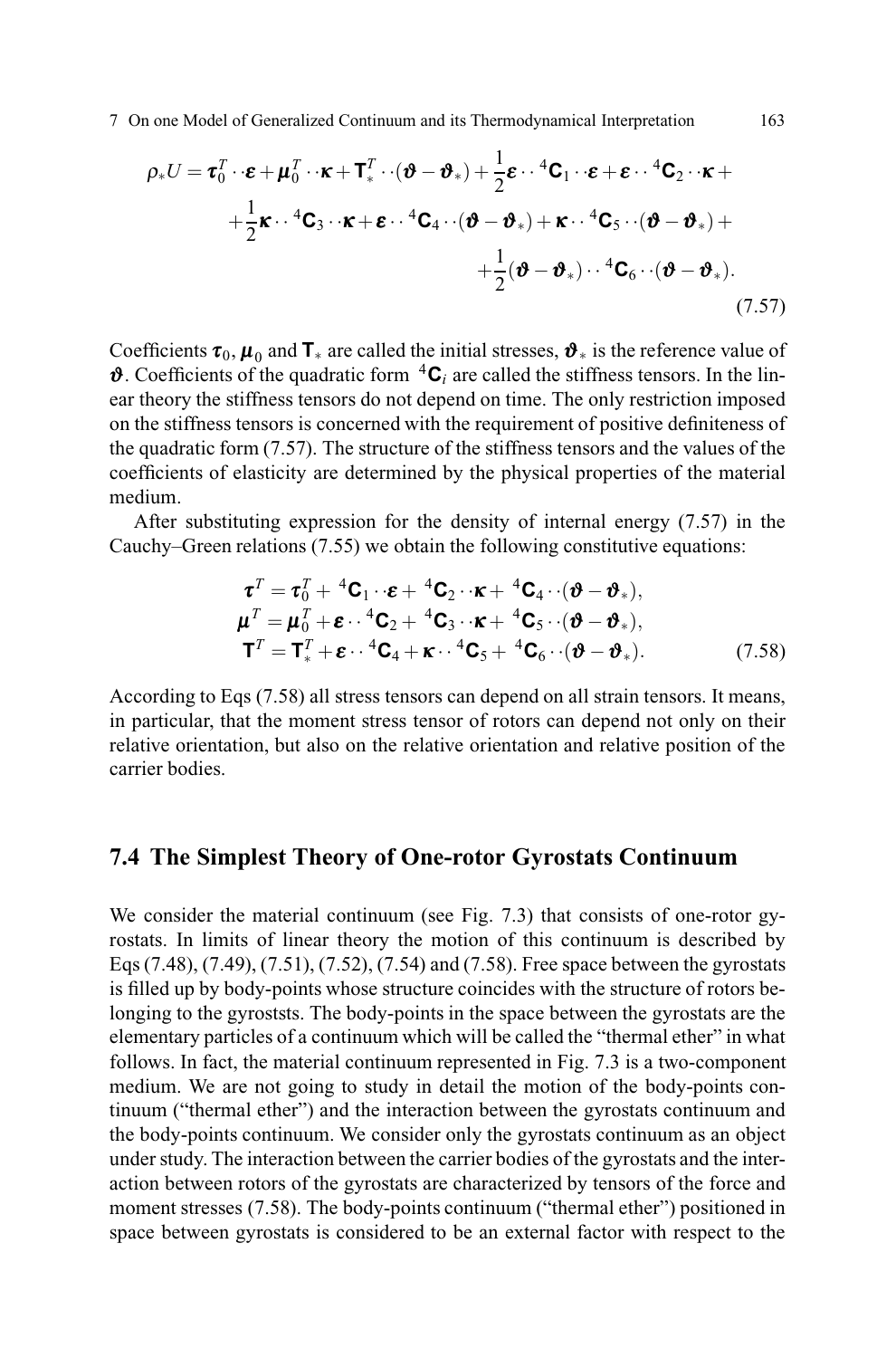$$
\rho_* U = \boldsymbol{\tau}_0^T \cdot \boldsymbol{\epsilon} + \boldsymbol{\mu}_0^T \cdot \boldsymbol{\kappa} + \boldsymbol{\mathsf{T}}_*^T \cdot (\boldsymbol{\vartheta} - \boldsymbol{\vartheta}_*) + \frac{1}{2} \boldsymbol{\epsilon} \cdot \boldsymbol{\zeta}^4 \mathbf{C}_1 \cdot \boldsymbol{\epsilon} + \boldsymbol{\epsilon} \cdot \boldsymbol{\zeta}^4 \mathbf{C}_2 \cdot \boldsymbol{\kappa} + + \frac{1}{2} \boldsymbol{\kappa} \cdot \boldsymbol{\zeta}_3 \cdot \boldsymbol{\kappa} + \boldsymbol{\epsilon} \cdot \boldsymbol{\zeta}_4 \cdot (\boldsymbol{\vartheta} - \boldsymbol{\vartheta}_*) + \boldsymbol{\kappa} \cdot \boldsymbol{\zeta}_5 \cdot (\boldsymbol{\vartheta} - \boldsymbol{\vartheta}_*) + + \frac{1}{2} (\boldsymbol{\vartheta} - \boldsymbol{\vartheta}_*) \cdot \boldsymbol{\zeta}_6 \cdot (\boldsymbol{\vartheta} - \boldsymbol{\vartheta}_*) .
$$
\n(7.57)

Coefficients  $\tau_0$ ,  $\mu_0$  and  $\tau_*$  are called the initial stresses,  $\vartheta_*$  is the reference value of  $\mathbf{\hat{v}}$ . Coefficients of the quadratic form  ${}^{4}C_i$  are called the stiffness tensors. In the linear theory the stiffness tensors do not depend on time. The only restriction imposed on the stiffness tensors is concerned with the requirement of positive definiteness of the quadratic form (7.57). The structure of the stiffness tensors and the values of the coefficients of elasticity are determined by the physical properties of the material medium.

After substituting expression for the density of internal energy (7.57) in the Cauchy–Green relations (7.55) we obtain the following constitutive equations:

$$
\boldsymbol{\tau}^T = \boldsymbol{\tau}_0^T + {}^4\mathbf{C}_1 \cdot \boldsymbol{\epsilon} + {}^4\mathbf{C}_2 \cdot \boldsymbol{\kappa} + {}^4\mathbf{C}_4 \cdot (\boldsymbol{\vartheta} - \boldsymbol{\vartheta}_*),
$$
  
\n
$$
\boldsymbol{\mu}^T = \boldsymbol{\mu}_0^T + \boldsymbol{\epsilon} \cdot {}^4\mathbf{C}_2 + {}^4\mathbf{C}_3 \cdot \boldsymbol{\kappa} + {}^4\mathbf{C}_5 \cdot (\boldsymbol{\vartheta} - \boldsymbol{\vartheta}_*),
$$
  
\n
$$
\mathbf{T}^T = \mathbf{T}_*^T + \boldsymbol{\epsilon} \cdot {}^4\mathbf{C}_4 + \boldsymbol{\kappa} \cdot {}^4\mathbf{C}_5 + {}^4\mathbf{C}_6 \cdot (\boldsymbol{\vartheta} - \boldsymbol{\vartheta}_*).
$$
 (7.58)

According to Eqs (7.58) all stress tensors can depend on all strain tensors. It means, in particular, that the moment stress tensor of rotors can depend not only on their relative orientation, but also on the relative orientation and relative position of the carrier bodies.

#### **7.4 The Simplest Theory of One-rotor Gyrostats Continuum**

We consider the material continuum (see Fig. 7.3) that consists of one-rotor gyrostats. In limits of linear theory the motion of this continuum is described by Eqs (7.48), (7.49), (7.51), (7.52), (7.54) and (7.58). Free space between the gyrostats is filled up by body-points whose structure coincides with the structure of rotors belonging to the gyroststs. The body-points in the space between the gyrostats are the elementary particles of a continuum which will be called the "thermal ether" in what follows. In fact, the material continuum represented in Fig. 7.3 is a two-component medium. We are not going to study in detail the motion of the body-points continuum ("thermal ether") and the interaction between the gyrostats continuum and the body-points continuum. We consider only the gyrostats continuum as an object under study. The interaction between the carrier bodies of the gyrostats and the interaction between rotors of the gyrostats are characterized by tensors of the force and moment stresses (7.58). The body-points continuum ("thermal ether") positioned in space between gyrostats is considered to be an external factor with respect to the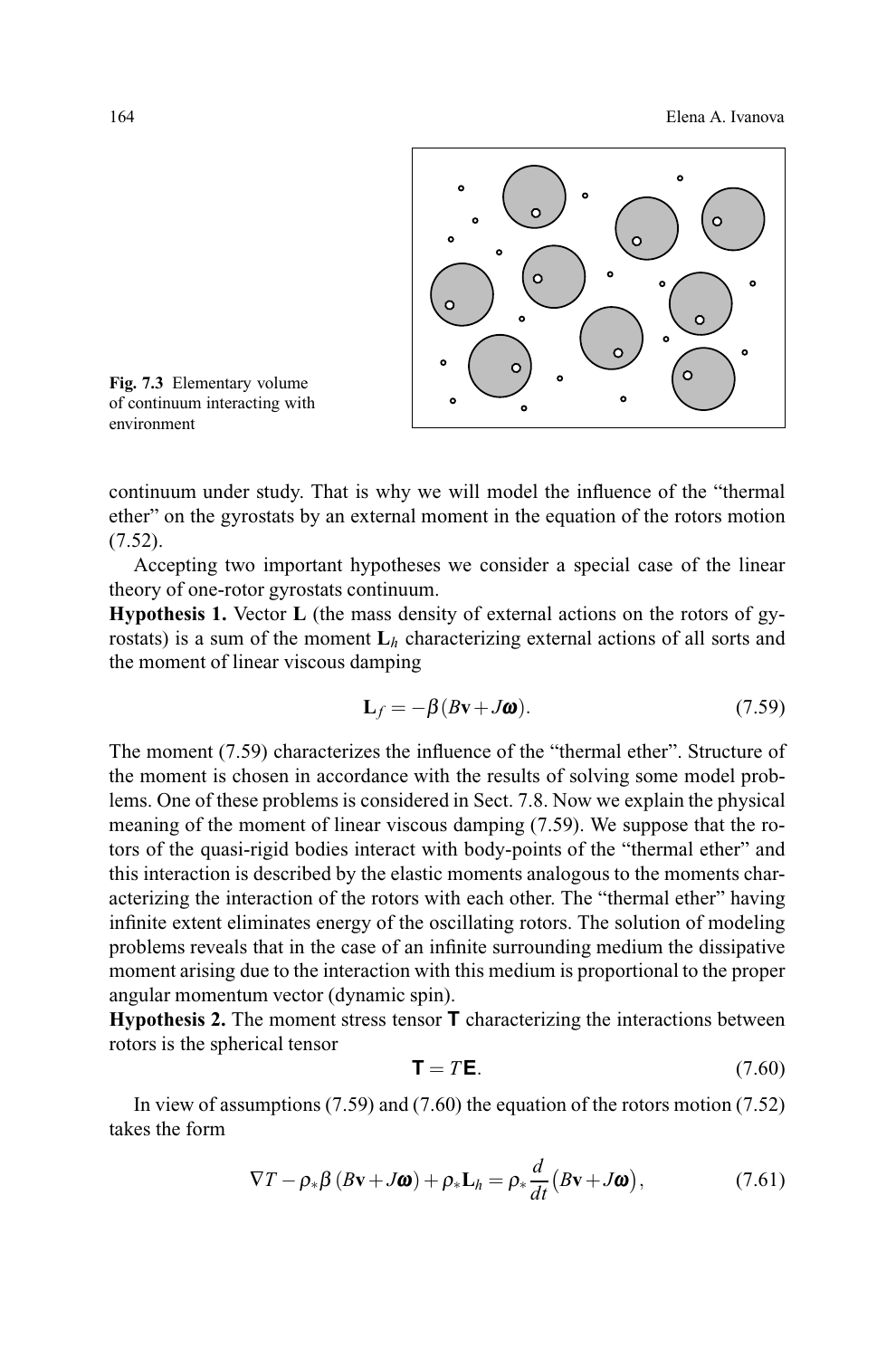

**Fig. 7.3** Elementary volume of continuum interacting with environment

continuum under study. That is why we will model the influence of the "thermal ether" on the gyrostats by an external moment in the equation of the rotors motion (7.52).

Accepting two important hypotheses we consider a special case of the linear theory of one-rotor gyrostats continuum.

**Hypothesis 1.** Vector **L** (the mass density of external actions on the rotors of gyrostats) is a sum of the moment **L***<sup>h</sup>* characterizing external actions of all sorts and the moment of linear viscous damping

$$
\mathbf{L}_f = -\beta (B\mathbf{v} + J\boldsymbol{\omega}).\tag{7.59}
$$

The moment (7.59) characterizes the influence of the "thermal ether". Structure of the moment is chosen in accordance with the results of solving some model problems. One of these problems is considered in Sect. 7.8. Now we explain the physical meaning of the moment of linear viscous damping (7.59). We suppose that the rotors of the quasi-rigid bodies interact with body-points of the "thermal ether" and this interaction is described by the elastic moments analogous to the moments characterizing the interaction of the rotors with each other. The "thermal ether" having infinite extent eliminates energy of the oscillating rotors. The solution of modeling problems reveals that in the case of an infinite surrounding medium the dissipative moment arising due to the interaction with this medium is proportional to the proper angular momentum vector (dynamic spin).

**Hypothesis 2.** The moment stress tensor **T** characterizing the interactions between rotors is the spherical tensor

$$
\mathbf{T} = T\mathbf{E}.\tag{7.60}
$$

In view of assumptions (7.59) and (7.60) the equation of the rotors motion (7.52) takes the form

$$
\nabla T - \rho_* \beta \left( B\mathbf{v} + J\boldsymbol{\omega} \right) + \rho_* \mathbf{L}_h = \rho_* \frac{d}{dt} \left( B\mathbf{v} + J\boldsymbol{\omega} \right),\tag{7.61}
$$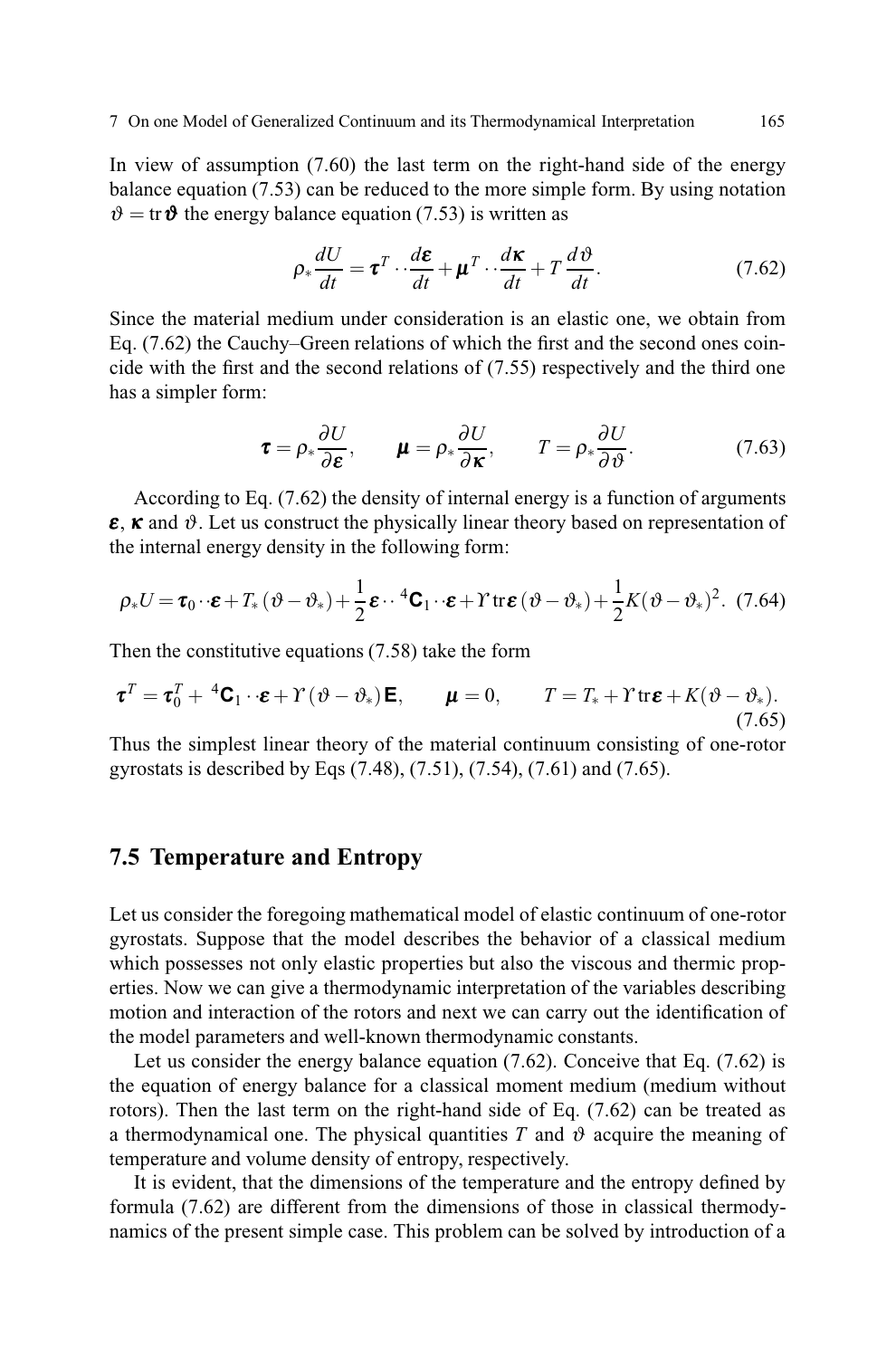In view of assumption (7.60) the last term on the right-hand side of the energy balance equation  $(7.53)$  can be reduced to the more simple form. By using notation  $\vartheta$  = tr $\vartheta$  the energy balance equation (7.53) is written as

$$
\rho_* \frac{dU}{dt} = \boldsymbol{\tau}^T \cdot \frac{d\boldsymbol{\varepsilon}}{dt} + \boldsymbol{\mu}^T \cdot \frac{d\boldsymbol{\kappa}}{dt} + T \frac{d\vartheta}{dt}.
$$
 (7.62)

Since the material medium under consideration is an elastic one, we obtain from Eq. (7.62) the Cauchy–Green relations of which the first and the second ones coincide with the first and the second relations of (7.55) respectively and the third one has a simpler form:

$$
\boldsymbol{\tau} = \rho_* \frac{\partial U}{\partial \boldsymbol{\varepsilon}}, \qquad \boldsymbol{\mu} = \rho_* \frac{\partial U}{\partial \boldsymbol{\kappa}}, \qquad T = \rho_* \frac{\partial U}{\partial \vartheta}. \tag{7.63}
$$

According to Eq. (7.62) the density of internal energy is a function of arguments  $\varepsilon$ ,  $\kappa$  and  $\vartheta$ . Let us construct the physically linear theory based on representation of the internal energy density in the following form:

$$
\rho_* U = \boldsymbol{\tau}_0 \cdot \boldsymbol{\varepsilon} + T_* \left( \boldsymbol{\vartheta} - \boldsymbol{\vartheta}_* \right) + \frac{1}{2} \boldsymbol{\varepsilon} \cdot \boldsymbol{\varepsilon}^2 \boldsymbol{\mathsf{C}}_1 \cdot \boldsymbol{\varepsilon} + \boldsymbol{\Upsilon} \operatorname{tr} \boldsymbol{\varepsilon} \left( \boldsymbol{\vartheta} - \boldsymbol{\vartheta}_* \right) + \frac{1}{2} K (\boldsymbol{\vartheta} - \boldsymbol{\vartheta}_*)^2. \tag{7.64}
$$

Then the constitutive equations (7.58) take the form

$$
\boldsymbol{\tau}^T = \boldsymbol{\tau}_0^T + {}^4\mathbf{C}_1 \cdot \boldsymbol{\varepsilon} + \boldsymbol{\Upsilon} (\vartheta - \vartheta_*) \mathbf{E}, \qquad \boldsymbol{\mu} = 0, \qquad \boldsymbol{T} = \boldsymbol{T}_* + \boldsymbol{\Upsilon} \text{tr} \boldsymbol{\varepsilon} + \boldsymbol{K} (\vartheta - \vartheta_*) . \tag{7.65}
$$

Thus the simplest linear theory of the material continuum consisting of one-rotor gyrostats is described by Eqs (7.48), (7.51), (7.54), (7.61) and (7.65).

#### **7.5 Temperature and Entropy**

Let us consider the foregoing mathematical model of elastic continuum of one-rotor gyrostats. Suppose that the model describes the behavior of a classical medium which possesses not only elastic properties but also the viscous and thermic properties. Now we can give a thermodynamic interpretation of the variables describing motion and interaction of the rotors and next we can carry out the identification of the model parameters and well-known thermodynamic constants.

Let us consider the energy balance equation (7.62). Conceive that Eq. (7.62) is the equation of energy balance for a classical moment medium (medium without rotors). Then the last term on the right-hand side of Eq. (7.62) can be treated as a thermodynamical one. The physical quantities  $T$  and  $\vartheta$  acquire the meaning of temperature and volume density of entropy, respectively.

It is evident, that the dimensions of the temperature and the entropy defined by formula (7.62) are different from the dimensions of those in classical thermodynamics of the present simple case. This problem can be solved by introduction of a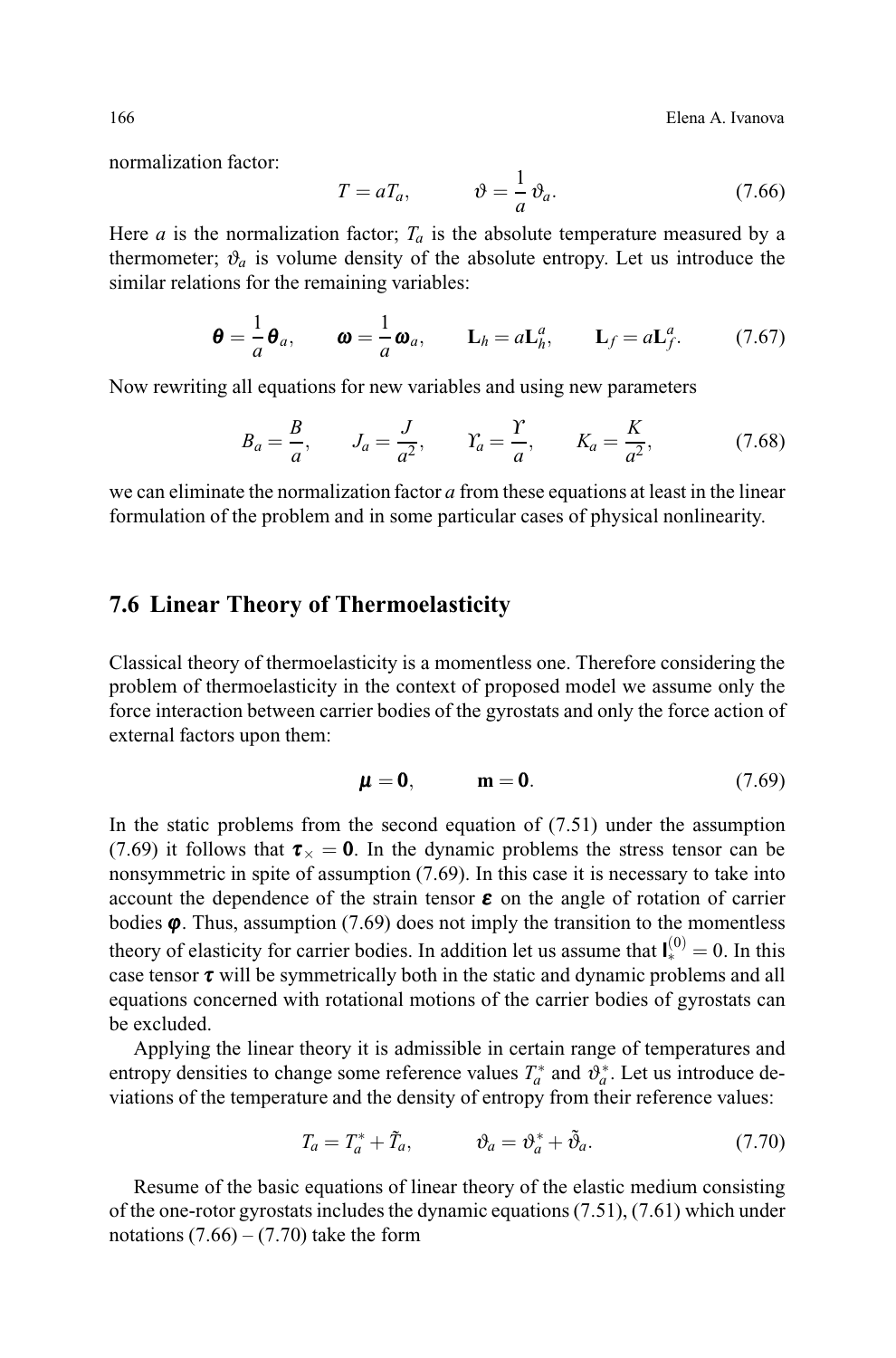normalization factor:

$$
T = aT_a, \qquad \qquad \vartheta = \frac{1}{a}\,\vartheta_a. \tag{7.66}
$$

Here *a* is the normalization factor;  $T_a$  is the absolute temperature measured by a thermometer;  $\vartheta_a$  is volume density of the absolute entropy. Let us introduce the similar relations for the remaining variables:

$$
\boldsymbol{\theta} = \frac{1}{a} \boldsymbol{\theta}_a, \qquad \boldsymbol{\omega} = \frac{1}{a} \boldsymbol{\omega}_a, \qquad \mathbf{L}_h = a \mathbf{L}_h^a, \qquad \mathbf{L}_f = a \mathbf{L}_f^a. \tag{7.67}
$$

Now rewriting all equations for new variables and using new parameters

$$
B_a = \frac{B}{a}
$$
,  $J_a = \frac{J}{a^2}$ ,  $Y_a = \frac{Y}{a}$ ,  $K_a = \frac{K}{a^2}$ , (7.68)

we can eliminate the normalization factor *a* from these equations at least in the linear formulation of the problem and in some particular cases of physical nonlinearity.

#### **7.6 Linear Theory of Thermoelasticity**

Classical theory of thermoelasticity is a momentless one. Therefore considering the problem of thermoelasticity in the context of proposed model we assume only the force interaction between carrier bodies of the gyrostats and only the force action of external factors upon them:

$$
\mu = 0, \qquad m = 0. \tag{7.69}
$$

In the static problems from the second equation of (7.51) under the assumption (7.69) it follows that  $\tau_{\times} = 0$ . In the dynamic problems the stress tensor can be nonsymmetric in spite of assumption (7.69). In this case it is necessary to take into account the dependence of the strain tensor  $\varepsilon$  on the angle of rotation of carrier bodies  $\varphi$ . Thus, assumption (7.69) does not imply the transition to the momentless theory of elasticity for carrier bodies. In addition let us assume that  $I_*^{(0)} = 0$ . In this case tensor  $\tau$  will be symmetrically both in the static and dynamic problems and all equations concerned with rotational motions of the carrier bodies of gyrostats can be excluded.

Applying the linear theory it is admissible in certain range of temperatures and entropy densities to change some reference values  $T_a^*$  and  $\vartheta_a^*$ . Let us introduce deviations of the temperature and the density of entropy from their reference values:

$$
T_a = T_a^* + \tilde{T}_a, \qquad \qquad \vartheta_a = \vartheta_a^* + \tilde{\vartheta}_a. \tag{7.70}
$$

Resume of the basic equations of linear theory of the elastic medium consisting of the one-rotor gyrostats includes the dynamic equations (7.51), (7.61) which under notations  $(7.66) - (7.70)$  take the form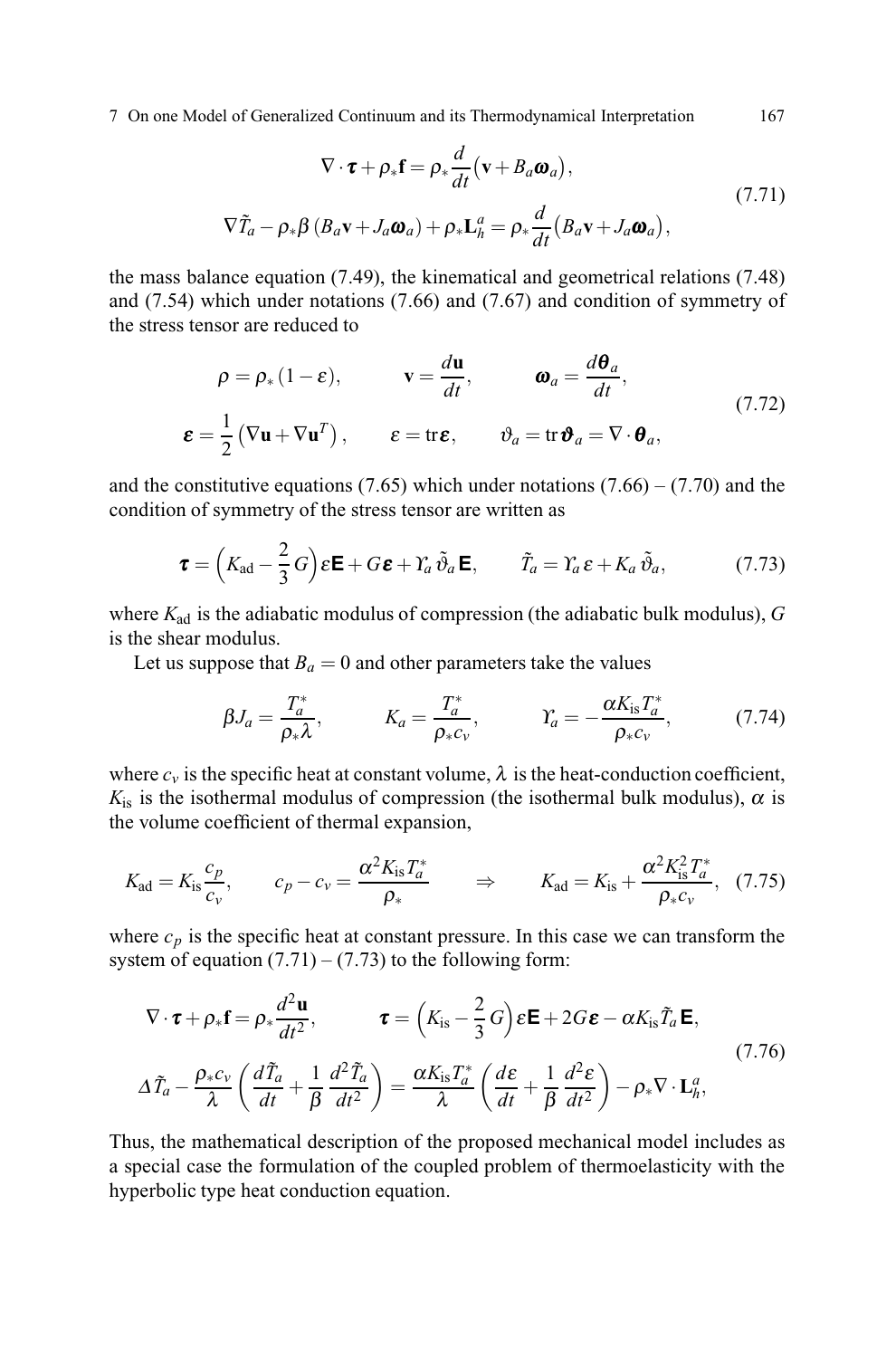$$
\nabla \cdot \boldsymbol{\tau} + \rho_* \mathbf{f} = \rho_* \frac{d}{dt} (\mathbf{v} + B_a \boldsymbol{\omega}_a),
$$
  

$$
\nabla \tilde{T}_a - \rho_* \beta (B_a \mathbf{v} + J_a \boldsymbol{\omega}_a) + \rho_* \mathbf{L}_h^a = \rho_* \frac{d}{dt} (B_a \mathbf{v} + J_a \boldsymbol{\omega}_a),
$$
 (7.71)

the mass balance equation (7.49), the kinematical and geometrical relations (7.48) and (7.54) which under notations (7.66) and (7.67) and condition of symmetry of the stress tensor are reduced to

$$
\rho = \rho_*(1 - \varepsilon), \qquad \mathbf{v} = \frac{d\mathbf{u}}{dt}, \qquad \mathbf{\omega}_a = \frac{d\mathbf{\theta}_a}{dt},
$$
  

$$
\boldsymbol{\varepsilon} = \frac{1}{2} (\nabla \mathbf{u} + \nabla \mathbf{u}^T), \qquad \varepsilon = \text{tr}\,\boldsymbol{\varepsilon}, \qquad \vartheta_a = \text{tr}\,\boldsymbol{\vartheta}_a = \nabla \cdot \boldsymbol{\theta}_a,
$$
 (7.72)

and the constitutive equations (7.65) which under notations (7.66) – (7.70) and the condition of symmetry of the stress tensor are written as

$$
\boldsymbol{\tau} = \left(K_{\text{ad}} - \frac{2}{3}G\right)\varepsilon \mathbf{E} + G\boldsymbol{\varepsilon} + Y_a \, \tilde{\vartheta}_a \, \mathbf{E}, \qquad \tilde{T}_a = Y_a \, \varepsilon + K_a \, \tilde{\vartheta}_a,\tag{7.73}
$$

where  $K_{ad}$  is the adiabatic modulus of compression (the adiabatic bulk modulus),  $G$ is the shear modulus.

Let us suppose that  $B_a = 0$  and other parameters take the values

$$
\beta J_a = \frac{T_a^*}{\rho_* \lambda}, \qquad K_a = \frac{T_a^*}{\rho_* c_v}, \qquad \gamma_a = -\frac{\alpha K_{\rm is} T_a^*}{\rho_* c_v}, \qquad (7.74)
$$

where  $c_v$  is the specific heat at constant volume,  $\lambda$  is the heat-conduction coefficient,  $K_{\text{is}}$  is the isothermal modulus of compression (the isothermal bulk modulus),  $\alpha$  is the volume coefficient of thermal expansion,

$$
K_{\rm ad} = K_{\rm is} \frac{c_p}{c_v}, \qquad c_p - c_v = \frac{\alpha^2 K_{\rm is} T_a^*}{\rho_*} \qquad \Rightarrow \qquad K_{\rm ad} = K_{\rm is} + \frac{\alpha^2 K_{\rm is}^2 T_a^*}{\rho_* c_v}, \tag{7.75}
$$

where  $c_p$  is the specific heat at constant pressure. In this case we can transform the system of equation  $(7.71) - (7.73)$  to the following form:

$$
\nabla \cdot \boldsymbol{\tau} + \rho_* \mathbf{f} = \rho_* \frac{d^2 \mathbf{u}}{dt^2}, \qquad \boldsymbol{\tau} = \left(K_{\rm is} - \frac{2}{3} G\right) \varepsilon \mathbf{E} + 2G \boldsymbol{\varepsilon} - \alpha K_{\rm is} \tilde{T}_a \mathbf{E},
$$
  

$$
\Delta \tilde{T}_a - \frac{\rho_* c_v}{\lambda} \left(\frac{d\tilde{T}_a}{dt} + \frac{1}{\beta} \frac{d^2 \tilde{T}_a}{dt^2}\right) = \frac{\alpha K_{\rm is} T_a^*}{\lambda} \left(\frac{d\varepsilon}{dt} + \frac{1}{\beta} \frac{d^2 \varepsilon}{dt^2}\right) - \rho_* \nabla \cdot \mathbf{L}_h^a,
$$
(7.76)

Thus, the mathematical description of the proposed mechanical model includes as a special case the formulation of the coupled problem of thermoelasticity with the hyperbolic type heat conduction equation.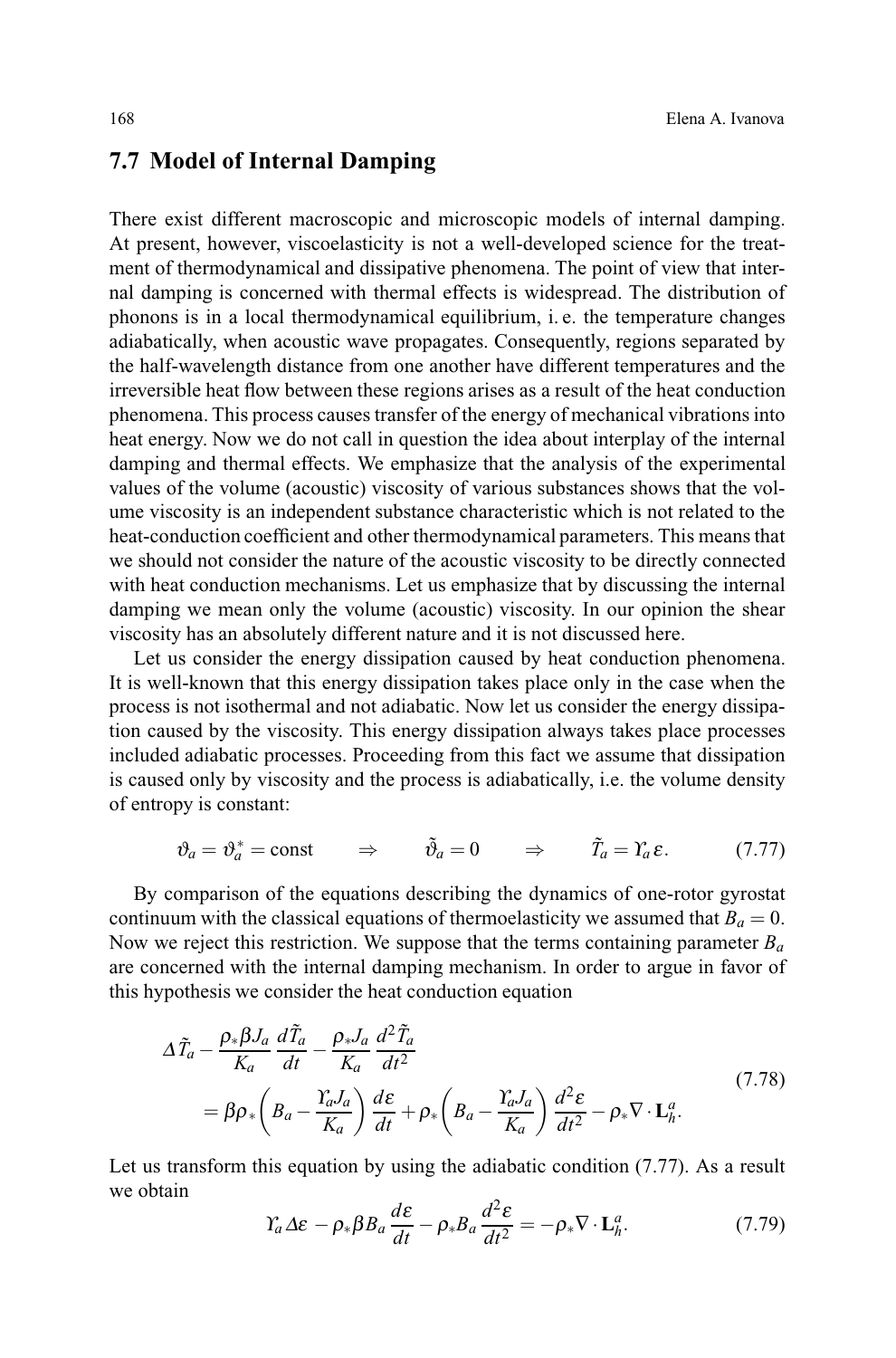#### **7.7 Model of Internal Damping**

There exist different macroscopic and microscopic models of internal damping. At present, however, viscoelasticity is not a well-developed science for the treatment of thermodynamical and dissipative phenomena. The point of view that internal damping is concerned with thermal effects is widespread. The distribution of phonons is in a local thermodynamical equilibrium, i. e. the temperature changes adiabatically, when acoustic wave propagates. Consequently, regions separated by the half-wavelength distance from one another have different temperatures and the irreversible heat flow between these regions arises as a result of the heat conduction phenomena. This process causes transfer of the energy of mechanical vibrations into heat energy. Now we do not call in question the idea about interplay of the internal damping and thermal effects. We emphasize that the analysis of the experimental values of the volume (acoustic) viscosity of various substances shows that the volume viscosity is an independent substance characteristic which is not related to the heat-conduction coefficient and other thermodynamical parameters. This means that we should not consider the nature of the acoustic viscosity to be directly connected with heat conduction mechanisms. Let us emphasize that by discussing the internal damping we mean only the volume (acoustic) viscosity. In our opinion the shear viscosity has an absolutely different nature and it is not discussed here.

Let us consider the energy dissipation caused by heat conduction phenomena. It is well-known that this energy dissipation takes place only in the case when the process is not isothermal and not adiabatic. Now let us consider the energy dissipation caused by the viscosity. This energy dissipation always takes place processes included adiabatic processes. Proceeding from this fact we assume that dissipation is caused only by viscosity and the process is adiabatically, i.e. the volume density of entropy is constant:

$$
\vartheta_a = \vartheta_a^* = \text{const} \qquad \Rightarrow \qquad \tilde{\vartheta}_a = 0 \qquad \Rightarrow \qquad \tilde{T}_a = \Upsilon_a \,\varepsilon. \tag{7.77}
$$

By comparison of the equations describing the dynamics of one-rotor gyrostat continuum with the classical equations of thermoelasticity we assumed that  $B_a = 0$ . Now we reject this restriction. We suppose that the terms containing parameter  $B_a$ are concerned with the internal damping mechanism. In order to argue in favor of this hypothesis we consider the heat conduction equation

$$
\Delta \tilde{T}_a - \frac{\rho_* \beta J_a}{K_a} \frac{d\tilde{T}_a}{dt} - \frac{\rho_{*} J_a}{K_a} \frac{d^2 \tilde{T}_a}{dt^2} \n= \beta \rho_* \left( B_a - \frac{\Gamma_a J_a}{K_a} \right) \frac{d\epsilon}{dt} + \rho_* \left( B_a - \frac{\Gamma_a J_a}{K_a} \right) \frac{d^2 \epsilon}{dt^2} - \rho_* \nabla \cdot \mathbf{L}_h^a.
$$
\n(7.78)

Let us transform this equation by using the adiabatic condition (7.77). As a result we obtain

$$
\gamma_a \Delta \varepsilon - \rho_* \beta B_a \frac{d\varepsilon}{dt} - \rho_* B_a \frac{d^2 \varepsilon}{dt^2} = -\rho_* \nabla \cdot \mathbf{L}_h^a. \tag{7.79}
$$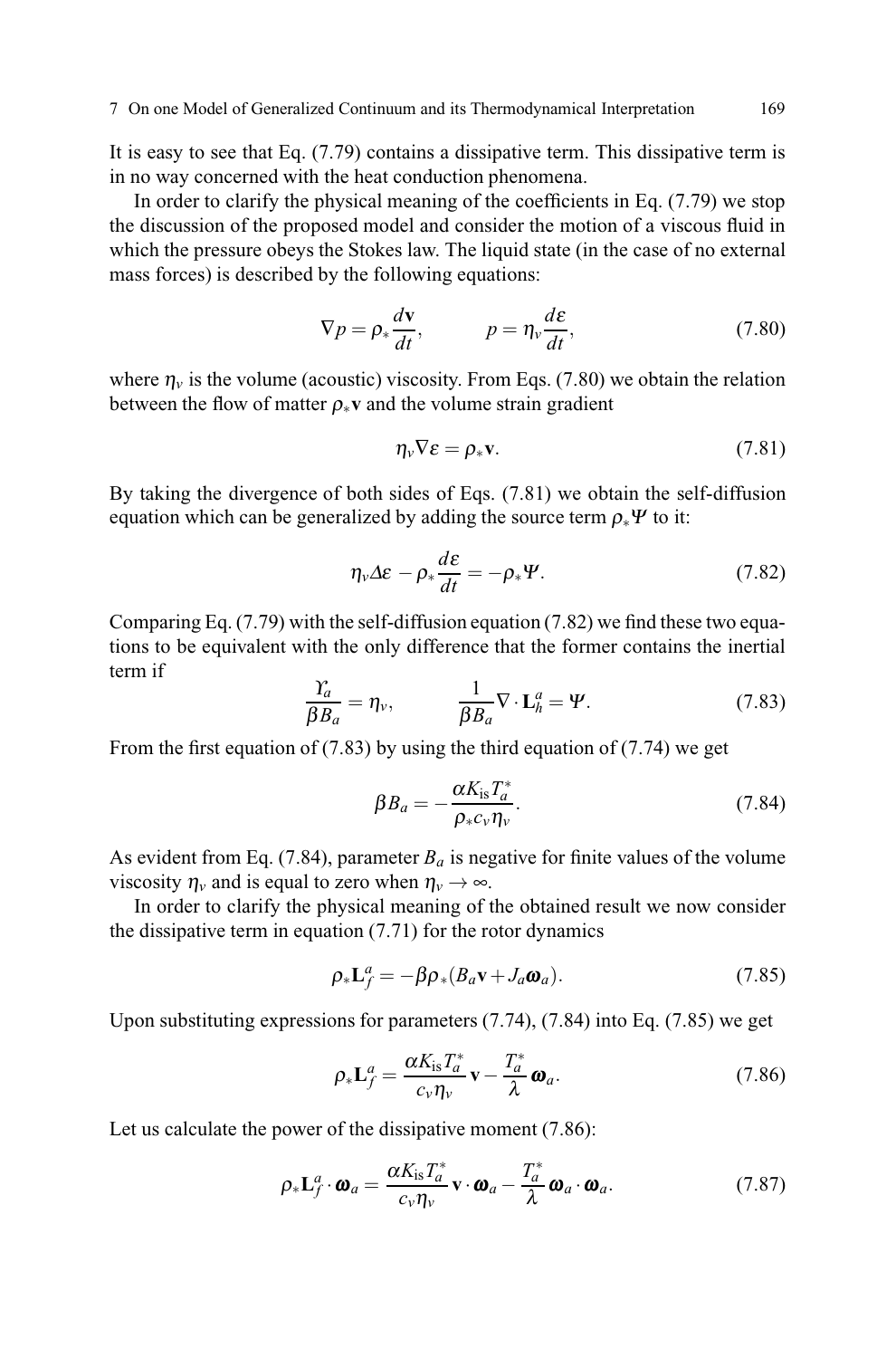It is easy to see that Eq. (7.79) contains a dissipative term. This dissipative term is in no way concerned with the heat conduction phenomena.

In order to clarify the physical meaning of the coefficients in Eq. (7.79) we stop the discussion of the proposed model and consider the motion of a viscous fluid in which the pressure obeys the Stokes law. The liquid state (in the case of no external mass forces) is described by the following equations:

$$
\nabla p = \rho_* \frac{d\mathbf{v}}{dt}, \qquad p = \eta_\nu \frac{d\varepsilon}{dt}, \qquad (7.80)
$$

where  $\eta_v$  is the volume (acoustic) viscosity. From Eqs. (7.80) we obtain the relation between the flow of matter  $\rho_*\mathbf{v}$  and the volume strain gradient

$$
\eta_{\nu} \nabla \varepsilon = \rho_* \mathbf{v}.\tag{7.81}
$$

By taking the divergence of both sides of Eqs. (7.81) we obtain the self-diffusion equation which can be generalized by adding the source term  $\rho_* \Psi$  to it:

$$
\eta_{\nu}\Delta\varepsilon - \rho_{*}\frac{d\varepsilon}{dt} = -\rho_{*}\Psi.
$$
\n(7.82)

Comparing Eq. (7.79) with the self-diffusion equation (7.82) we find these two equations to be equivalent with the only difference that the former contains the inertial term if

$$
\frac{\Upsilon_a}{\beta B_a} = \eta_v, \qquad \frac{1}{\beta B_a} \nabla \cdot \mathbf{L}_h^a = \Psi.
$$
 (7.83)

From the first equation of (7.83) by using the third equation of (7.74) we get

$$
\beta B_a = -\frac{\alpha K_{\text{is}} T_a^*}{\rho_* c_v \eta_v}.
$$
\n(7.84)

As evident from Eq. (7.84), parameter  $B_a$  is negative for finite values of the volume viscosity  $\eta_v$  and is equal to zero when  $\eta_v \to \infty$ .

In order to clarify the physical meaning of the obtained result we now consider the dissipative term in equation (7.71) for the rotor dynamics

$$
\rho_* \mathbf{L}_f^a = -\beta \rho_* (B_a \mathbf{v} + J_a \mathbf{\omega}_a). \tag{7.85}
$$

Upon substituting expressions for parameters  $(7.74)$ ,  $(7.84)$  into Eq.  $(7.85)$  we get

$$
\rho_* \mathbf{L}_f^a = \frac{\alpha K_{\rm is} T_a^*}{c_v \eta_v} \mathbf{v} - \frac{T_a^*}{\lambda} \boldsymbol{\omega}_a.
$$
\n(7.86)

Let us calculate the power of the dissipative moment (7.86):

$$
\rho_* \mathbf{L}_f^a \cdot \mathbf{\omega}_a = \frac{\alpha K_{\rm is} T_a^*}{c_v \eta_v} \mathbf{v} \cdot \mathbf{\omega}_a - \frac{T_a^*}{\lambda} \mathbf{\omega}_a \cdot \mathbf{\omega}_a. \tag{7.87}
$$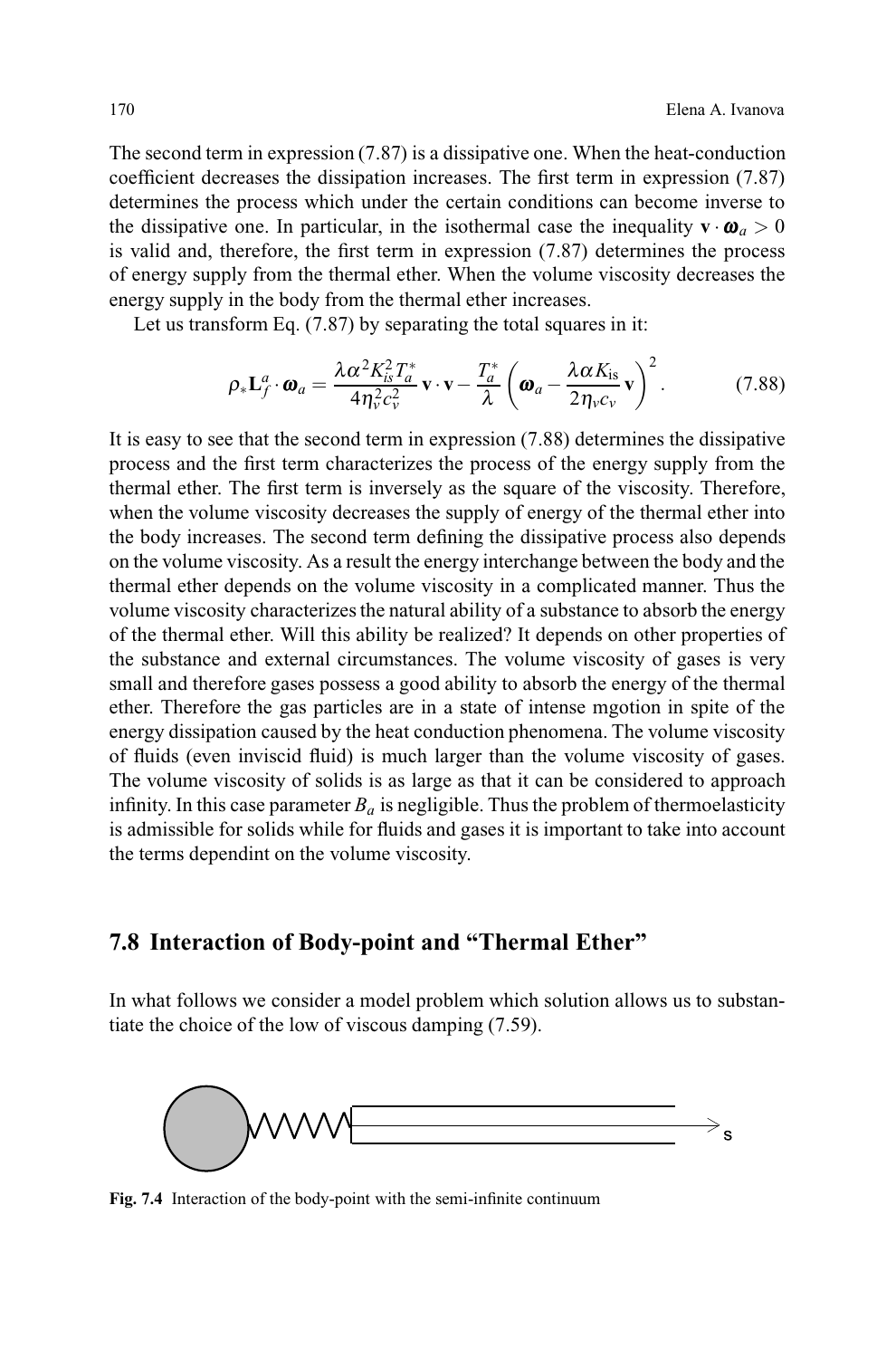The second term in expression (7.87) is a dissipative one. When the heat-conduction coefficient decreases the dissipation increases. The first term in expression (7.87) determines the process which under the certain conditions can become inverse to the dissipative one. In particular, in the isothermal case the inequality  $\mathbf{v} \cdot \mathbf{\omega}_a > 0$ is valid and, therefore, the first term in expression (7.87) determines the process of energy supply from the thermal ether. When the volume viscosity decreases the energy supply in the body from the thermal ether increases.

Let us transform Eq. (7.87) by separating the total squares in it:

$$
\rho_* \mathbf{L}_f^a \cdot \boldsymbol{\omega}_a = \frac{\lambda \alpha^2 K_{is}^2 T_a^*}{4 \eta_v^2 c_v^2} \mathbf{v} \cdot \mathbf{v} - \frac{T_a^*}{\lambda} \left( \boldsymbol{\omega}_a - \frac{\lambda \alpha K_{\rm is}}{2 \eta_v c_v} \mathbf{v} \right)^2.
$$
 (7.88)

It is easy to see that the second term in expression (7.88) determines the dissipative process and the first term characterizes the process of the energy supply from the thermal ether. The first term is inversely as the square of the viscosity. Therefore, when the volume viscosity decreases the supply of energy of the thermal ether into the body increases. The second term defining the dissipative process also depends on the volume viscosity. As a result the energy interchange between the body and the thermal ether depends on the volume viscosity in a complicated manner. Thus the volume viscosity characterizes the natural ability of a substance to absorb the energy of the thermal ether. Will this ability be realized? It depends on other properties of the substance and external circumstances. The volume viscosity of gases is very small and therefore gases possess a good ability to absorb the energy of the thermal ether. Therefore the gas particles are in a state of intense mgotion in spite of the energy dissipation caused by the heat conduction phenomena. The volume viscosity of fluids (even inviscid fluid) is much larger than the volume viscosity of gases. The volume viscosity of solids is as large as that it can be considered to approach infinity. In this case parameter  $B_a$  is negligible. Thus the problem of thermoelasticity is admissible for solids while for fluids and gases it is important to take into account the terms dependint on the volume viscosity.

#### **7.8 Interaction of Body-point and "Thermal Ether"**

In what follows we consider a model problem which solution allows us to substantiate the choice of the low of viscous damping (7.59).



**Fig. 7.4** Interaction of the body-point with the semi-infinite continuum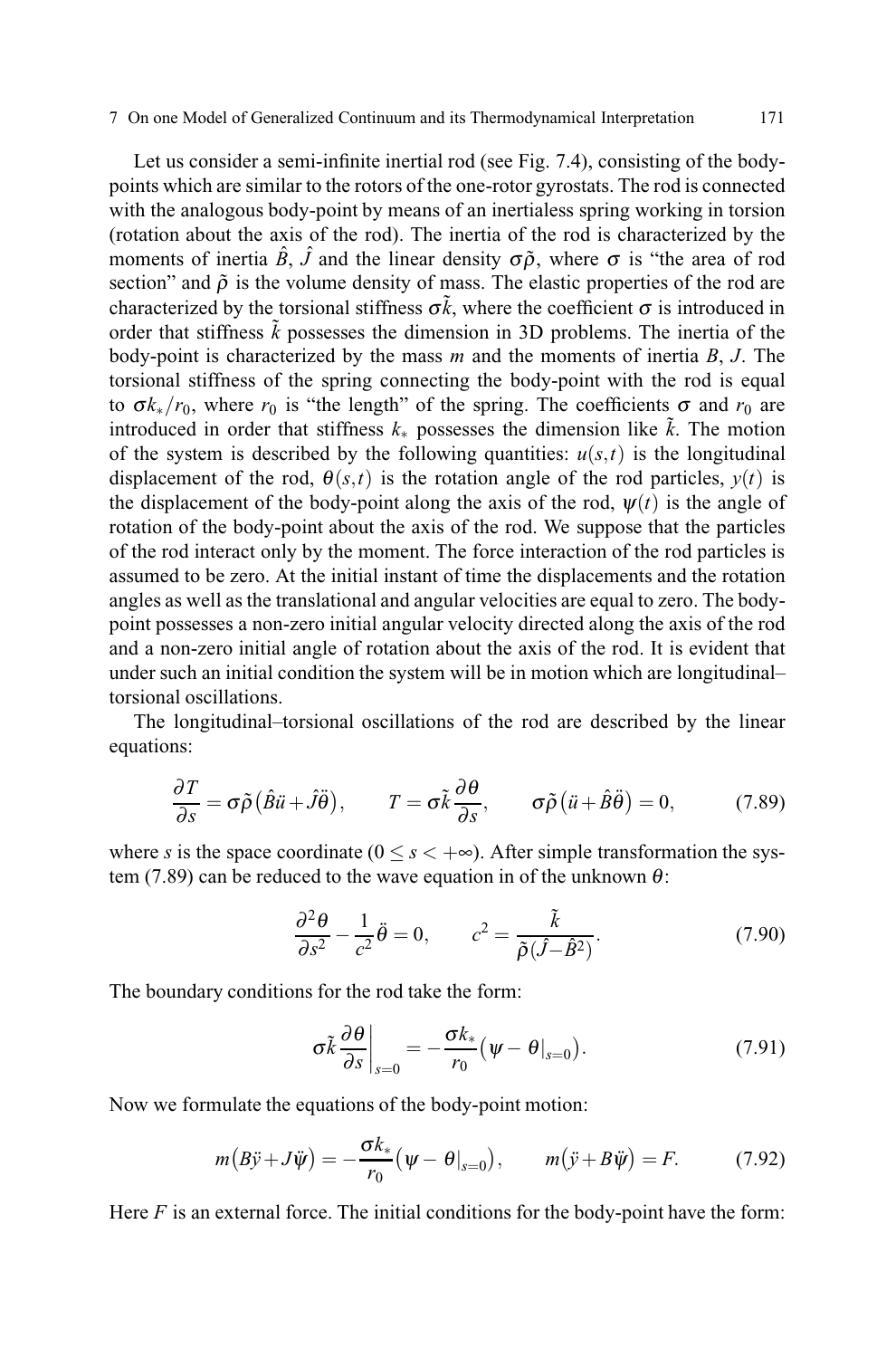Let us consider a semi-infinite inertial rod (see Fig. 7.4), consisting of the bodypoints which are similar to the rotors of the one-rotor gyrostats. The rod is connected with the analogous body-point by means of an inertialess spring working in torsion (rotation about the axis of the rod). The inertia of the rod is characterized by the moments of inertia  $\hat{B}$ ,  $\hat{J}$  and the linear density  $\sigma \tilde{\rho}$ , where  $\sigma$  is "the area of rod section" and  $\tilde{\rho}$  is the volume density of mass. The elastic properties of the rod are characterized by the torsional stiffness  $\sigma \tilde{k}$ , where the coefficient  $\sigma$  is introduced in order that stiffness  $\tilde{k}$  possesses the dimension in 3D problems. The inertia of the body-point is characterized by the mass *m* and the moments of inertia *B*, *J*. The torsional stiffness of the spring connecting the body-point with the rod is equal to  $\sigma k_*/r_0$ , where  $r_0$  is "the length" of the spring. The coefficients  $\sigma$  and  $r_0$  are introduced in order that stiffness  $k_*$  possesses the dimension like  $\tilde{k}$ . The motion of the system is described by the following quantities:  $u(s,t)$  is the longitudinal displacement of the rod,  $\theta(s,t)$  is the rotation angle of the rod particles,  $y(t)$  is the displacement of the body-point along the axis of the rod,  $\psi(t)$  is the angle of rotation of the body-point about the axis of the rod. We suppose that the particles of the rod interact only by the moment. The force interaction of the rod particles is assumed to be zero. At the initial instant of time the displacements and the rotation angles as well as the translational and angular velocities are equal to zero. The bodypoint possesses a non-zero initial angular velocity directed along the axis of the rod and a non-zero initial angle of rotation about the axis of the rod. It is evident that under such an initial condition the system will be in motion which are longitudinal– torsional oscillations.

The longitudinal–torsional oscillations of the rod are described by the linear equations:

$$
\frac{\partial T}{\partial s} = \sigma \tilde{\rho} \left( \hat{B} \ddot{u} + \hat{J} \ddot{\theta} \right), \qquad T = \sigma \tilde{k} \frac{\partial \theta}{\partial s}, \qquad \sigma \tilde{\rho} \left( \ddot{u} + \hat{B} \ddot{\theta} \right) = 0, \tag{7.89}
$$

where *s* is the space coordinate ( $0 \le s \le +\infty$ ). After simple transformation the system (7.89) can be reduced to the wave equation in of the unknown  $\theta$ :

$$
\frac{\partial^2 \theta}{\partial s^2} - \frac{1}{c^2} \ddot{\theta} = 0, \qquad c^2 = \frac{\tilde{k}}{\tilde{\rho} (\hat{J} - \hat{B}^2)}.
$$
(7.90)

The boundary conditions for the rod take the form:

$$
\sigma \tilde{k} \frac{\partial \theta}{\partial s}\bigg|_{s=0} = -\frac{\sigma k_*}{r_0} \big(\psi - \theta|_{s=0}\big). \tag{7.91}
$$

Now we formulate the equations of the body-point motion:

$$
m(B\ddot{y} + J\ddot{\psi}) = -\frac{\sigma k_*}{r_0}(\psi - \theta|_{s=0}), \qquad m(\ddot{y} + B\ddot{\psi}) = F. \tag{7.92}
$$

Here  $F$  is an external force. The initial conditions for the body-point have the form: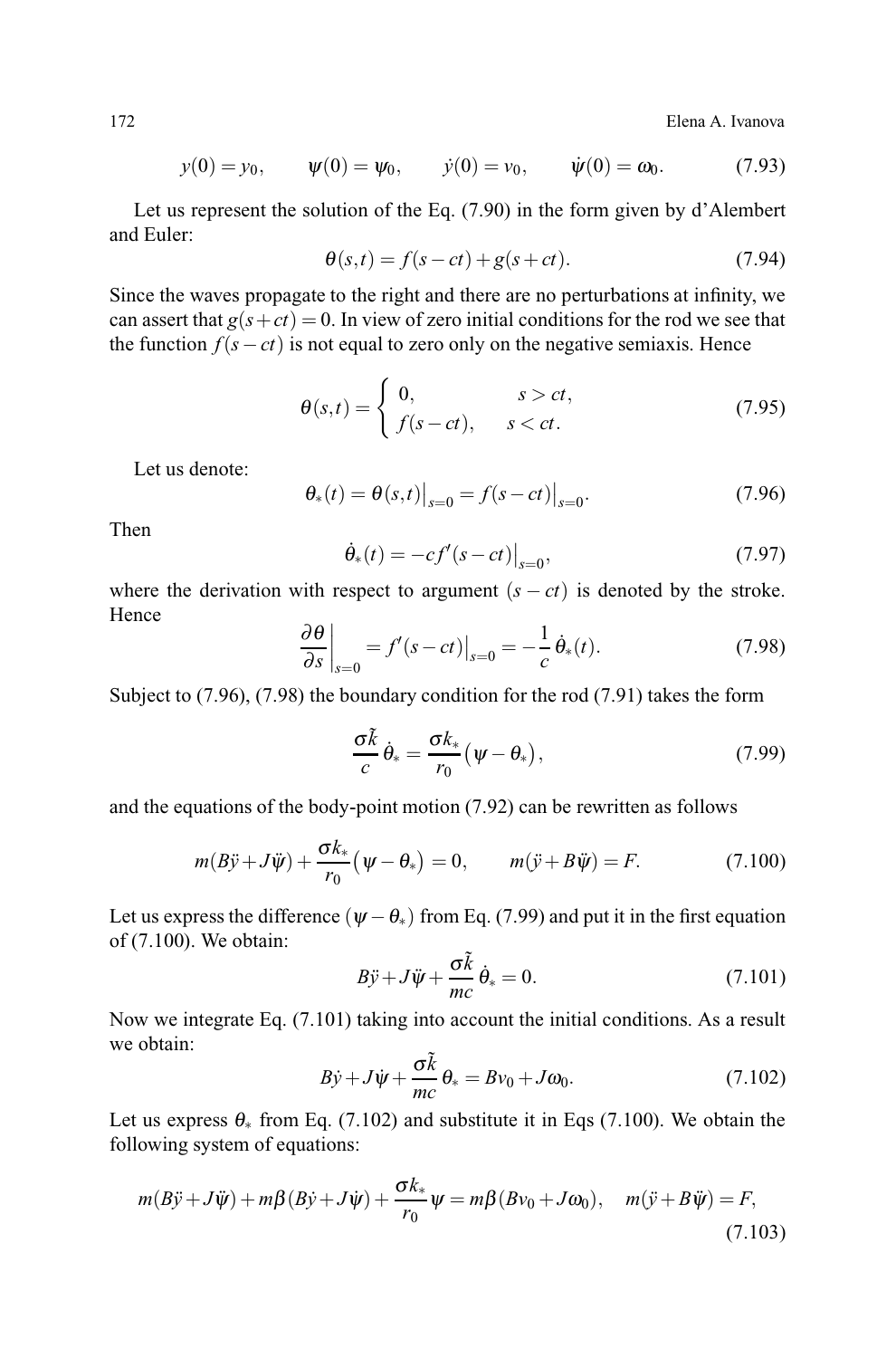$$
y(0) = y_0,
$$
  $\psi(0) = \psi_0,$   $\dot{y}(0) = v_0,$   $\dot{\psi}(0) = \omega_0.$  (7.93)

Let us represent the solution of the Eq. (7.90) in the form given by d'Alembert and Euler:

$$
\theta(s,t) = f(s-ct) + g(s+ct). \tag{7.94}
$$

Since the waves propagate to the right and there are no perturbations at infinity, we can assert that  $g(s+ct) = 0$ . In view of zero initial conditions for the rod we see that the function  $f(s-ct)$  is not equal to zero only on the negative semiaxis. Hence

$$
\theta(s,t) = \begin{cases} 0, & s > ct, \\ f(s-ct), & s < ct. \end{cases}
$$
\n(7.95)

Let us denote:

$$
\theta_*(t) = \theta(s,t)|_{s=0} = f(s-ct)|_{s=0}.
$$
\n(7.96)

Then  

$$
\dot{\theta}_*(t) = -cf'(s-ct)|_{s=0},
$$
\n(7.97)

where the derivation with respect to argument  $(s - ct)$  is denoted by the stroke. Hence

$$
\left. \frac{\partial \theta}{\partial s} \right|_{s=0} = f'(s - ct) \Big|_{s=0} = -\frac{1}{c} \dot{\theta}_*(t). \tag{7.98}
$$

Subject to (7.96), (7.98) the boundary condition for the rod (7.91) takes the form

$$
\frac{\sigma \tilde{k}}{c} \dot{\theta}_* = \frac{\sigma k_*}{r_0} (\psi - \theta_*), \qquad (7.99)
$$

and the equations of the body-point motion (7.92) can be rewritten as follows

$$
m(B\ddot{y} + J\ddot{\psi}) + \frac{\sigma k_*}{r_0}(\psi - \theta_*) = 0, \qquad m(\ddot{y} + B\ddot{\psi}) = F. \tag{7.100}
$$

Let us express the difference ( $\psi - \theta_*$ ) from Eq. (7.99) and put it in the first equation of (7.100). We obtain:

$$
B\ddot{y} + J\ddot{\psi} + \frac{\sigma \tilde{k}}{mc} \dot{\theta}_* = 0.
$$
 (7.101)

Now we integrate Eq. (7.101) taking into account the initial conditions. As a result we obtain:

$$
B\dot{y} + J\dot{\psi} + \frac{\sigma \tilde{k}}{mc} \theta_* = Bv_0 + J\omega_0.
$$
 (7.102)

Let us express  $\theta_*$  from Eq. (7.102) and substitute it in Eqs (7.100). We obtain the following system of equations:

$$
m(B\ddot{y} + J\ddot{\psi}) + m\beta(B\dot{y} + J\dot{\psi}) + \frac{\sigma k_*}{r_0} \psi = m\beta(Bv_0 + J\omega_0), \quad m(\ddot{y} + B\ddot{\psi}) = F,
$$
\n(7.103)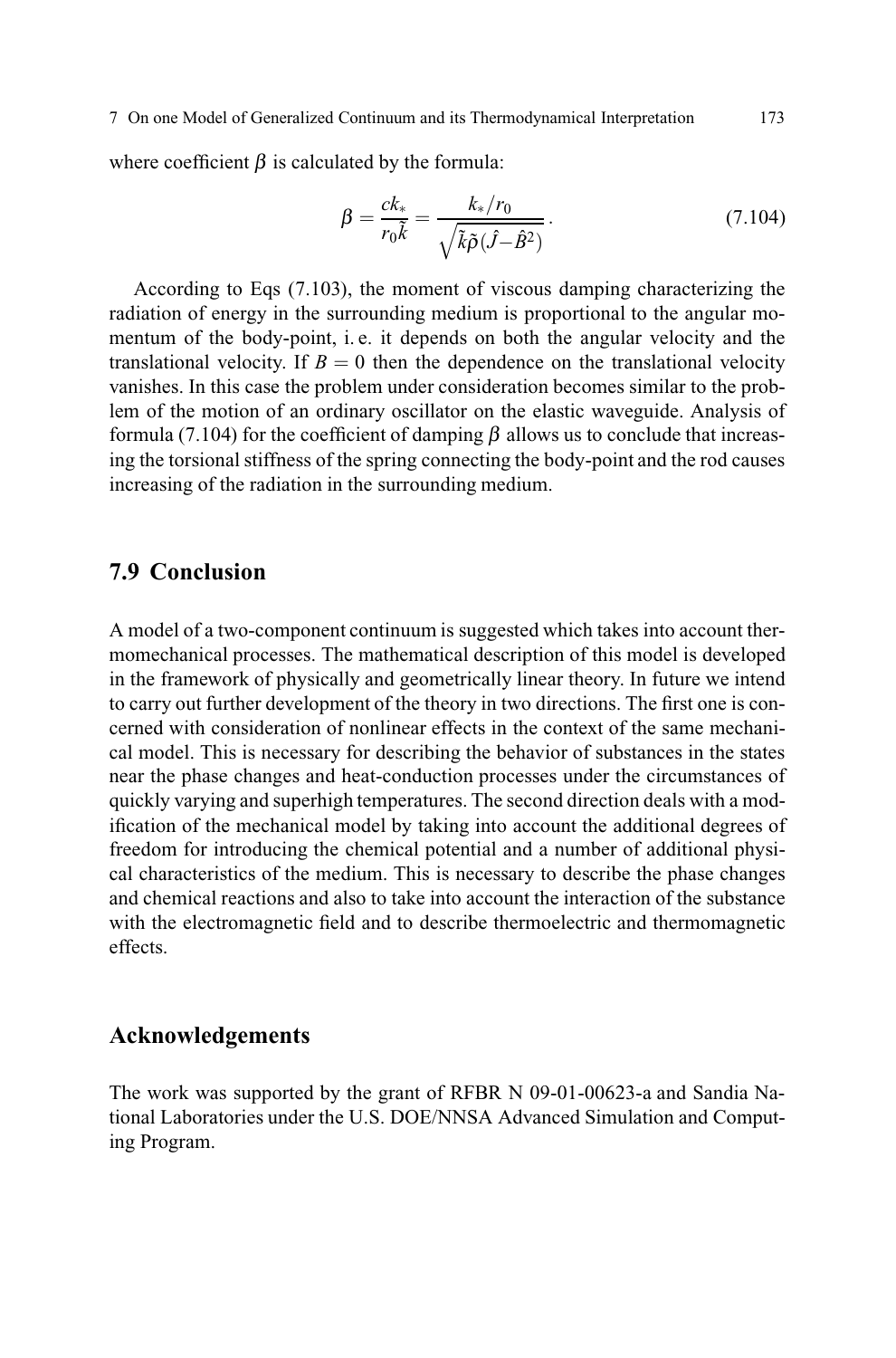where coefficient  $\beta$  is calculated by the formula:

$$
\beta = \frac{ck_*}{r_0 \tilde{k}} = \frac{k_*/r_0}{\sqrt{\tilde{k}\tilde{\rho}(\hat{J}-\hat{B}^2)}}.
$$
\n(7.104)

According to Eqs (7.103), the moment of viscous damping characterizing the radiation of energy in the surrounding medium is proportional to the angular momentum of the body-point, i. e. it depends on both the angular velocity and the translational velocity. If  $B = 0$  then the dependence on the translational velocity vanishes. In this case the problem under consideration becomes similar to the problem of the motion of an ordinary oscillator on the elastic waveguide. Analysis of formula (7.104) for the coefficient of damping β allows us to conclude that increasing the torsional stiffness of the spring connecting the body-point and the rod causes increasing of the radiation in the surrounding medium.

## **7.9 Conclusion**

A model of a two-component continuum is suggested which takes into account thermomechanical processes. The mathematical description of this model is developed in the framework of physically and geometrically linear theory. In future we intend to carry out further development of the theory in two directions. The first one is concerned with consideration of nonlinear effects in the context of the same mechanical model. This is necessary for describing the behavior of substances in the states near the phase changes and heat-conduction processes under the circumstances of quickly varying and superhigh temperatures. The second direction deals with a modification of the mechanical model by taking into account the additional degrees of freedom for introducing the chemical potential and a number of additional physical characteristics of the medium. This is necessary to describe the phase changes and chemical reactions and also to take into account the interaction of the substance with the electromagnetic field and to describe thermoelectric and thermomagnetic effects.

#### **Acknowledgements**

The work was supported by the grant of RFBR N 09-01-00623-a and Sandia National Laboratories under the U.S. DOE/NNSA Advanced Simulation and Computing Program.